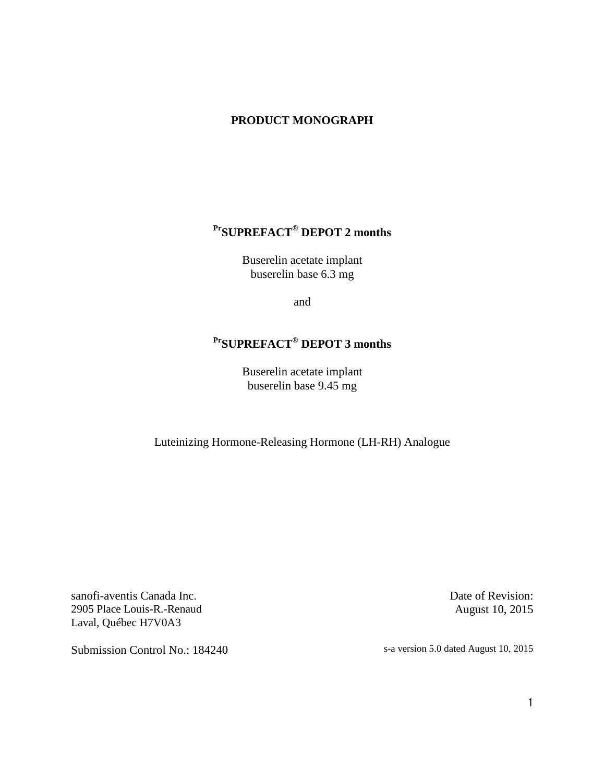# **PRODUCT MONOGRAPH**

# **PrSUPREFACT® DEPOT 2 months**

Buserelin acetate implant buserelin base 6.3 mg

and

# **PrSUPREFACT® DEPOT 3 months**

Buserelin acetate implant buserelin base 9.45 mg

Luteinizing Hormone-Releasing Hormone (LH-RH) Analogue

sanofi-aventis Canada Inc. 2905 Place Louis-R.-Renaud Laval, Québec H7V0A3

Date of Revision: August 10, 2015

Submission Control No.: 184240 s-a version 5.0 dated August 10, 2015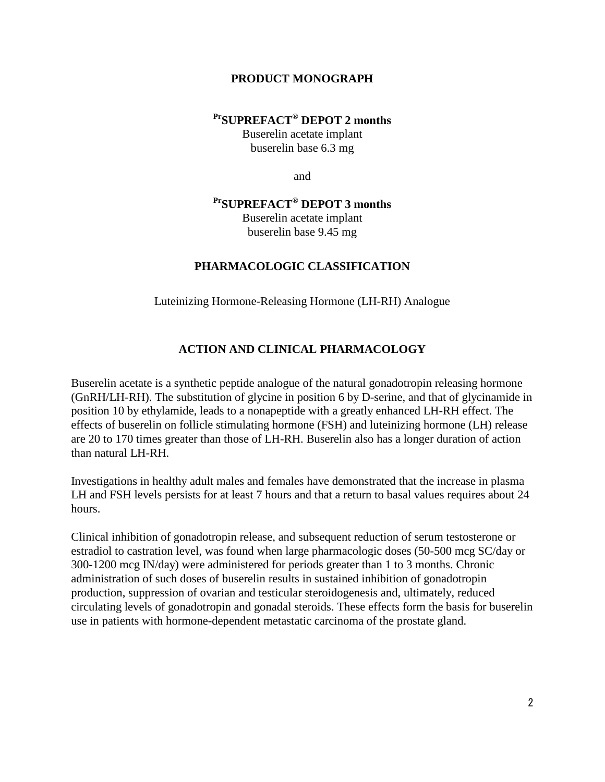#### **PRODUCT MONOGRAPH**

#### **PrSUPREFACT® DEPOT 2 months**

Buserelin acetate implant buserelin base 6.3 mg

and

# **PrSUPREFACT® DEPOT 3 months**

Buserelin acetate implant buserelin base 9.45 mg

#### **PHARMACOLOGIC CLASSIFICATION**

Luteinizing Hormone-Releasing Hormone (LH-RH) Analogue

# **ACTION AND CLINICAL PHARMACOLOGY**

Buserelin acetate is a synthetic peptide analogue of the natural gonadotropin releasing hormone (GnRH/LH-RH). The substitution of glycine in position 6 by D-serine, and that of glycinamide in position 10 by ethylamide, leads to a nonapeptide with a greatly enhanced LH-RH effect. The effects of buserelin on follicle stimulating hormone (FSH) and luteinizing hormone (LH) release are 20 to 170 times greater than those of LH-RH. Buserelin also has a longer duration of action than natural LH-RH.

Investigations in healthy adult males and females have demonstrated that the increase in plasma LH and FSH levels persists for at least 7 hours and that a return to basal values requires about 24 hours.

Clinical inhibition of gonadotropin release, and subsequent reduction of serum testosterone or estradiol to castration level, was found when large pharmacologic doses (50-500 mcg SC/day or 300-1200 mcg IN/day) were administered for periods greater than 1 to 3 months. Chronic administration of such doses of buserelin results in sustained inhibition of gonadotropin production, suppression of ovarian and testicular steroidogenesis and, ultimately, reduced circulating levels of gonadotropin and gonadal steroids. These effects form the basis for buserelin use in patients with hormone-dependent metastatic carcinoma of the prostate gland.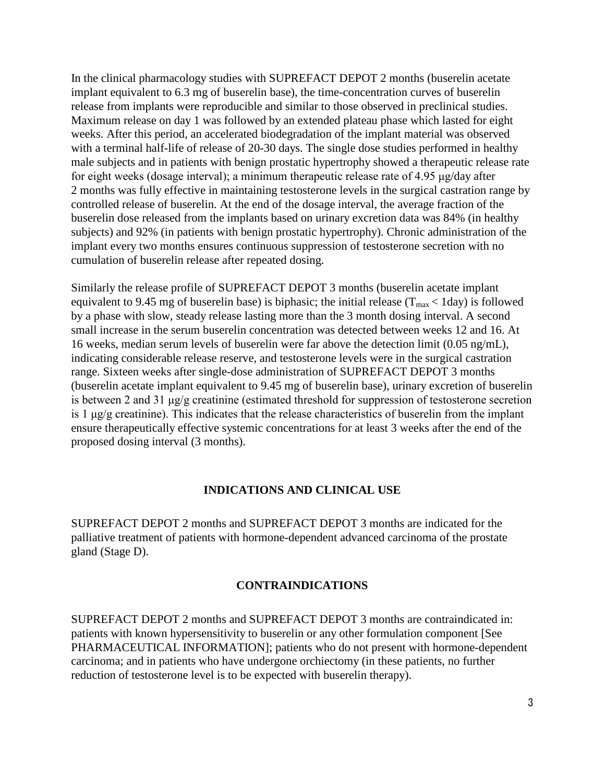In the clinical pharmacology studies with SUPREFACT DEPOT 2 months (buserelin acetate implant equivalent to 6.3 mg of buserelin base), the time-concentration curves of buserelin release from implants were reproducible and similar to those observed in preclinical studies. Maximum release on day 1 was followed by an extended plateau phase which lasted for eight weeks. After this period, an accelerated biodegradation of the implant material was observed with a terminal half-life of release of 20-30 days. The single dose studies performed in healthy male subjects and in patients with benign prostatic hypertrophy showed a therapeutic release rate for eight weeks (dosage interval); a minimum therapeutic release rate of 4.95 μg/day after 2 months was fully effective in maintaining testosterone levels in the surgical castration range by controlled release of buserelin. At the end of the dosage interval, the average fraction of the buserelin dose released from the implants based on urinary excretion data was 84% (in healthy subjects) and 92% (in patients with benign prostatic hypertrophy). Chronic administration of the implant every two months ensures continuous suppression of testosterone secretion with no cumulation of buserelin release after repeated dosing.

Similarly the release profile of SUPREFACT DEPOT 3 months (buserelin acetate implant equivalent to 9.45 mg of buserelin base) is biphasic; the initial release ( $T_{\text{max}}$  < 1day) is followed by a phase with slow, steady release lasting more than the 3 month dosing interval. A second small increase in the serum buserelin concentration was detected between weeks 12 and 16. At 16 weeks, median serum levels of buserelin were far above the detection limit (0.05 ng/mL), indicating considerable release reserve, and testosterone levels were in the surgical castration range. Sixteen weeks after single-dose administration of SUPREFACT DEPOT 3 months (buserelin acetate implant equivalent to 9.45 mg of buserelin base), urinary excretion of buserelin is between 2 and 31 μg/g creatinine (estimated threshold for suppression of testosterone secretion is 1 μg/g creatinine). This indicates that the release characteristics of buserelin from the implant ensure therapeutically effective systemic concentrations for at least 3 weeks after the end of the proposed dosing interval (3 months).

#### **INDICATIONS AND CLINICAL USE**

SUPREFACT DEPOT 2 months and SUPREFACT DEPOT 3 months are indicated for the palliative treatment of patients with hormone-dependent advanced carcinoma of the prostate gland (Stage D).

#### **CONTRAINDICATIONS**

SUPREFACT DEPOT 2 months and SUPREFACT DEPOT 3 months are contraindicated in: patients with known hypersensitivity to buserelin or any other formulation component [See PHARMACEUTICAL INFORMATION]; patients who do not present with hormone-dependent carcinoma; and in patients who have undergone orchiectomy (in these patients, no further reduction of testosterone level is to be expected with buserelin therapy).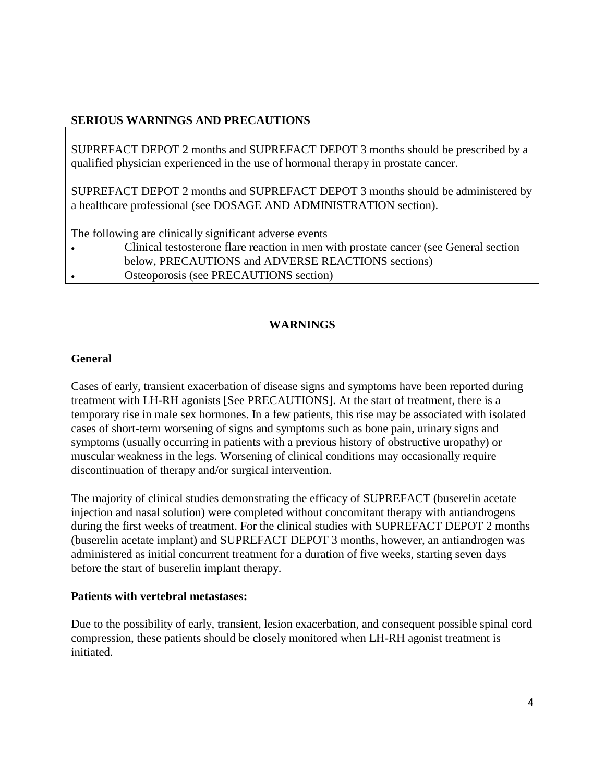# **SERIOUS WARNINGS AND PRECAUTIONS**

SUPREFACT DEPOT 2 months and SUPREFACT DEPOT 3 months should be prescribed by a qualified physician experienced in the use of hormonal therapy in prostate cancer.

SUPREFACT DEPOT 2 months and SUPREFACT DEPOT 3 months should be administered by a healthcare professional (see DOSAGE AND ADMINISTRATION section).

The following are clinically significant adverse events

• Clinical testosterone flare reaction in men with prostate cancer (see General section below, PRECAUTIONS and ADVERSE REACTIONS sections) • Osteoporosis (see PRECAUTIONS section)

# **WARNINGS**

# **General**

Cases of early, transient exacerbation of disease signs and symptoms have been reported during treatment with LH-RH agonists [See PRECAUTIONS]. At the start of treatment, there is a temporary rise in male sex hormones. In a few patients, this rise may be associated with isolated cases of short-term worsening of signs and symptoms such as bone pain, urinary signs and symptoms (usually occurring in patients with a previous history of obstructive uropathy) or muscular weakness in the legs. Worsening of clinical conditions may occasionally require discontinuation of therapy and/or surgical intervention.

The majority of clinical studies demonstrating the efficacy of SUPREFACT (buserelin acetate injection and nasal solution) were completed without concomitant therapy with antiandrogens during the first weeks of treatment. For the clinical studies with SUPREFACT DEPOT 2 months (buserelin acetate implant) and SUPREFACT DEPOT 3 months, however, an antiandrogen was administered as initial concurrent treatment for a duration of five weeks, starting seven days before the start of buserelin implant therapy.

#### **Patients with vertebral metastases:**

Due to the possibility of early, transient, lesion exacerbation, and consequent possible spinal cord compression, these patients should be closely monitored when LH-RH agonist treatment is initiated.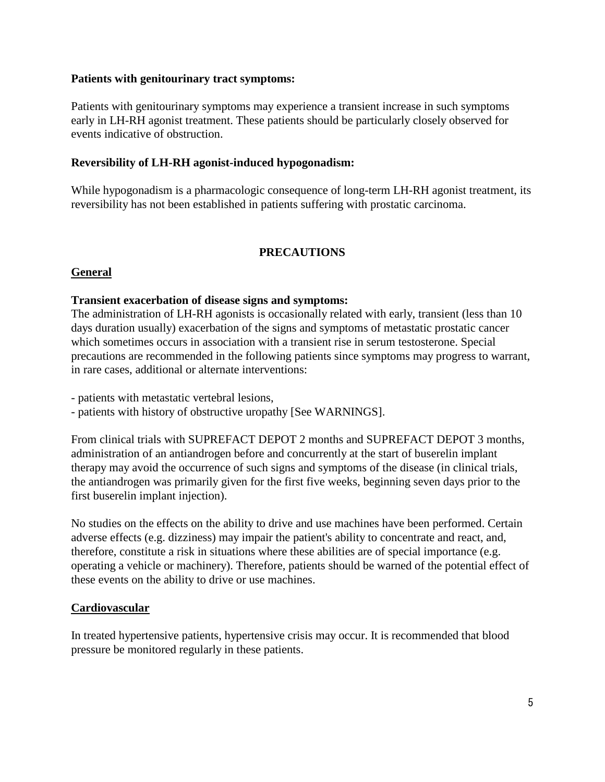#### **Patients with genitourinary tract symptoms:**

Patients with genitourinary symptoms may experience a transient increase in such symptoms early in LH-RH agonist treatment. These patients should be particularly closely observed for events indicative of obstruction.

#### **Reversibility of LH-RH agonist-induced hypogonadism:**

While hypogonadism is a pharmacologic consequence of long-term LH-RH agonist treatment, its reversibility has not been established in patients suffering with prostatic carcinoma.

#### **PRECAUTIONS**

#### **General**

#### **Transient exacerbation of disease signs and symptoms:**

The administration of LH-RH agonists is occasionally related with early, transient (less than 10 days duration usually) exacerbation of the signs and symptoms of metastatic prostatic cancer which sometimes occurs in association with a transient rise in serum testosterone. Special precautions are recommended in the following patients since symptoms may progress to warrant, in rare cases, additional or alternate interventions:

- patients with metastatic vertebral lesions,

- patients with history of obstructive uropathy [See WARNINGS].

From clinical trials with SUPREFACT DEPOT 2 months and SUPREFACT DEPOT 3 months, administration of an antiandrogen before and concurrently at the start of buserelin implant therapy may avoid the occurrence of such signs and symptoms of the disease (in clinical trials, the antiandrogen was primarily given for the first five weeks, beginning seven days prior to the first buserelin implant injection).

No studies on the effects on the ability to drive and use machines have been performed. Certain adverse effects (e.g. dizziness) may impair the patient's ability to concentrate and react, and, therefore, constitute a risk in situations where these abilities are of special importance (e.g. operating a vehicle or machinery). Therefore, patients should be warned of the potential effect of these events on the ability to drive or use machines.

#### **Cardiovascular**

In treated hypertensive patients, hypertensive crisis may occur. It is recommended that blood pressure be monitored regularly in these patients.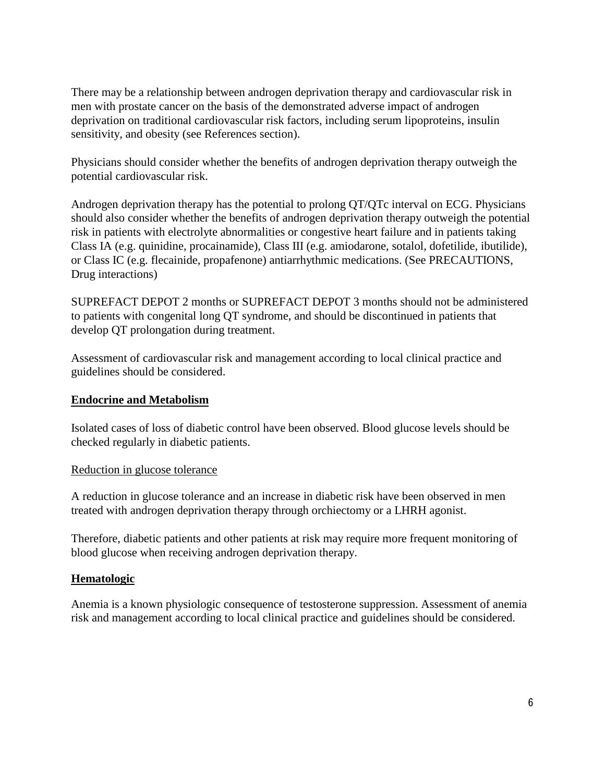There may be a relationship between androgen deprivation therapy and cardiovascular risk in men with prostate cancer on the basis of the demonstrated adverse impact of androgen deprivation on traditional cardiovascular risk factors, including serum lipoproteins, insulin sensitivity, and obesity (see References section).

Physicians should consider whether the benefits of androgen deprivation therapy outweigh the potential cardiovascular risk.

Androgen deprivation therapy has the potential to prolong QT/QTc interval on ECG. Physicians should also consider whether the benefits of androgen deprivation therapy outweigh the potential risk in patients with electrolyte abnormalities or congestive heart failure and in patients taking Class IA (e.g. quinidine, procainamide), Class III (e.g. amiodarone, sotalol, dofetilide, ibutilide), or Class IC (e.g. flecainide, propafenone) antiarrhythmic medications. (See PRECAUTIONS, Drug interactions)

SUPREFACT DEPOT 2 months or SUPREFACT DEPOT 3 months should not be administered to patients with congenital long QT syndrome, and should be discontinued in patients that develop QT prolongation during treatment.

Assessment of cardiovascular risk and management according to local clinical practice and guidelines should be considered.

# **Endocrine and Metabolism**

Isolated cases of loss of diabetic control have been observed. Blood glucose levels should be checked regularly in diabetic patients.

#### Reduction in glucose tolerance

A reduction in glucose tolerance and an increase in diabetic risk have been observed in men treated with androgen deprivation therapy through orchiectomy or a LHRH agonist.

Therefore, diabetic patients and other patients at risk may require more frequent monitoring of blood glucose when receiving androgen deprivation therapy.

# **Hematologic**

Anemia is a known physiologic consequence of testosterone suppression. Assessment of anemia risk and management according to local clinical practice and guidelines should be considered.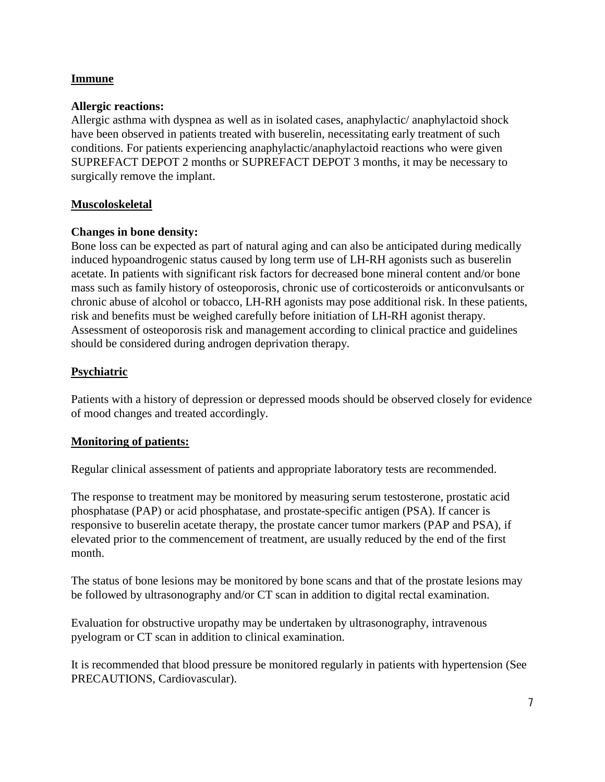# **Immune**

#### **Allergic reactions:**

Allergic asthma with dyspnea as well as in isolated cases, anaphylactic/ anaphylactoid shock have been observed in patients treated with buserelin, necessitating early treatment of such conditions. For patients experiencing anaphylactic/anaphylactoid reactions who were given SUPREFACT DEPOT 2 months or SUPREFACT DEPOT 3 months, it may be necessary to surgically remove the implant.

#### **Muscoloskeletal**

#### **Changes in bone density:**

Bone loss can be expected as part of natural aging and can also be anticipated during medically induced hypoandrogenic status caused by long term use of LH-RH agonists such as buserelin acetate. In patients with significant risk factors for decreased bone mineral content and/or bone mass such as family history of osteoporosis, chronic use of corticosteroids or anticonvulsants or chronic abuse of alcohol or tobacco, LH-RH agonists may pose additional risk. In these patients, risk and benefits must be weighed carefully before initiation of LH-RH agonist therapy. Assessment of osteoporosis risk and management according to clinical practice and guidelines should be considered during androgen deprivation therapy.

#### **Psychiatric**

Patients with a history of depression or depressed moods should be observed closely for evidence of mood changes and treated accordingly.

#### **Monitoring of patients:**

Regular clinical assessment of patients and appropriate laboratory tests are recommended.

The response to treatment may be monitored by measuring serum testosterone, prostatic acid phosphatase (PAP) or acid phosphatase, and prostate-specific antigen (PSA). If cancer is responsive to buserelin acetate therapy, the prostate cancer tumor markers (PAP and PSA), if elevated prior to the commencement of treatment, are usually reduced by the end of the first month.

The status of bone lesions may be monitored by bone scans and that of the prostate lesions may be followed by ultrasonography and/or CT scan in addition to digital rectal examination.

Evaluation for obstructive uropathy may be undertaken by ultrasonography, intravenous pyelogram or CT scan in addition to clinical examination.

It is recommended that blood pressure be monitored regularly in patients with hypertension (See PRECAUTIONS, Cardiovascular).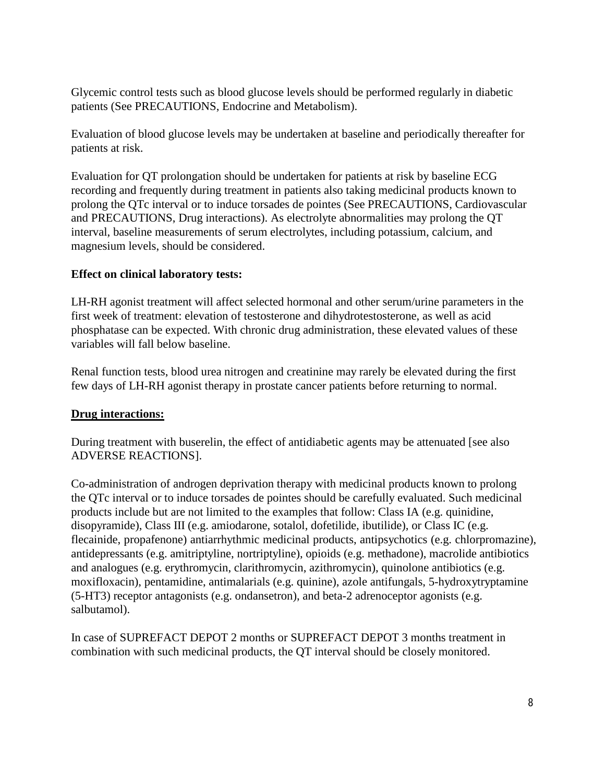Glycemic control tests such as blood glucose levels should be performed regularly in diabetic patients (See PRECAUTIONS, Endocrine and Metabolism).

Evaluation of blood glucose levels may be undertaken at baseline and periodically thereafter for patients at risk.

Evaluation for QT prolongation should be undertaken for patients at risk by baseline ECG recording and frequently during treatment in patients also taking medicinal products known to prolong the QTc interval or to induce torsades de pointes (See PRECAUTIONS, Cardiovascular and PRECAUTIONS, Drug interactions). As electrolyte abnormalities may prolong the QT interval, baseline measurements of serum electrolytes, including potassium, calcium, and magnesium levels, should be considered.

# **Effect on clinical laboratory tests:**

LH-RH agonist treatment will affect selected hormonal and other serum/urine parameters in the first week of treatment: elevation of testosterone and dihydrotestosterone, as well as acid phosphatase can be expected. With chronic drug administration, these elevated values of these variables will fall below baseline.

Renal function tests, blood urea nitrogen and creatinine may rarely be elevated during the first few days of LH-RH agonist therapy in prostate cancer patients before returning to normal.

# **Drug interactions:**

During treatment with buserelin, the effect of antidiabetic agents may be attenuated [see also ADVERSE REACTIONS].

Co-administration of androgen deprivation therapy with medicinal products known to prolong the QTc interval or to induce torsades de pointes should be carefully evaluated. Such medicinal products include but are not limited to the examples that follow: Class IA (e.g. quinidine, disopyramide), Class III (e.g. amiodarone, sotalol, dofetilide, ibutilide), or Class IC (e.g. flecainide, propafenone) antiarrhythmic medicinal products, antipsychotics (e.g. chlorpromazine), antidepressants (e.g. amitriptyline, nortriptyline), opioids (e.g. methadone), macrolide antibiotics and analogues (e.g. erythromycin, clarithromycin, azithromycin), quinolone antibiotics (e.g. moxifloxacin), pentamidine, antimalarials (e.g. quinine), azole antifungals, 5-hydroxytryptamine (5-HT3) receptor antagonists (e.g. ondansetron), and beta-2 adrenoceptor agonists (e.g. salbutamol).

In case of SUPREFACT DEPOT 2 months or SUPREFACT DEPOT 3 months treatment in combination with such medicinal products, the QT interval should be closely monitored.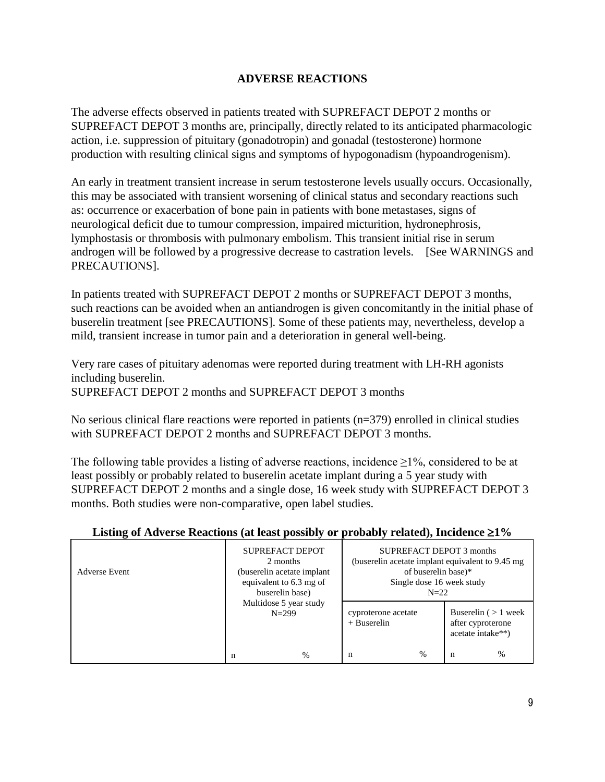# **ADVERSE REACTIONS**

The adverse effects observed in patients treated with SUPREFACT DEPOT 2 months or SUPREFACT DEPOT 3 months are, principally, directly related to its anticipated pharmacologic action, i.e. suppression of pituitary (gonadotropin) and gonadal (testosterone) hormone production with resulting clinical signs and symptoms of hypogonadism (hypoandrogenism).

An early in treatment transient increase in serum testosterone levels usually occurs. Occasionally, this may be associated with transient worsening of clinical status and secondary reactions such as: occurrence or exacerbation of bone pain in patients with bone metastases, signs of neurological deficit due to tumour compression, impaired micturition, hydronephrosis, lymphostasis or thrombosis with pulmonary embolism. This transient initial rise in serum androgen will be followed by a progressive decrease to castration levels. [See WARNINGS and PRECAUTIONS].

In patients treated with SUPREFACT DEPOT 2 months or SUPREFACT DEPOT 3 months, such reactions can be avoided when an antiandrogen is given concomitantly in the initial phase of buserelin treatment [see PRECAUTIONS]. Some of these patients may, nevertheless, develop a mild, transient increase in tumor pain and a deterioration in general well-being.

Very rare cases of pituitary adenomas were reported during treatment with LH-RH agonists including buserelin. SUPREFACT DEPOT 2 months and SUPREFACT DEPOT 3 months

No serious clinical flare reactions were reported in patients (n=379) enrolled in clinical studies with SUPREFACT DEPOT 2 months and SUPREFACT DEPOT 3 months.

The following table provides a listing of adverse reactions, incidence  $\geq 1\%$ , considered to be at least possibly or probably related to buserelin acetate implant during a 5 year study with SUPREFACT DEPOT 2 months and a single dose, 16 week study with SUPREFACT DEPOT 3 months. Both studies were non-comparative, open label studies.

| <b>Adverse Event</b> | <b>SUPREFACT DEPOT</b><br>2 months<br>(buserelin acetate implant)<br>equivalent to 6.3 mg of<br>buserelin base)<br>Multidose 5 year study<br>$N = 299$<br>$\frac{0}{0}$<br>n |  | SUPREFACT DEPOT 3 months<br>(buserelin acetate implant equivalent to 9.45 mg<br>of buserelin base)*<br>Single dose 16 week study<br>$N = 22$ |  |                                                                  |      |
|----------------------|------------------------------------------------------------------------------------------------------------------------------------------------------------------------------|--|----------------------------------------------------------------------------------------------------------------------------------------------|--|------------------------------------------------------------------|------|
|                      |                                                                                                                                                                              |  | cyproterone acetate<br>$+$ Buserelin<br>$\frac{0}{0}$<br>n<br>n                                                                              |  | Buserelin $($ > 1 week<br>after cyproterone<br>acetate intake**) | $\%$ |

# **Listing of Adverse Reactions (at least possibly or probably related), Incidence** ≥**1%**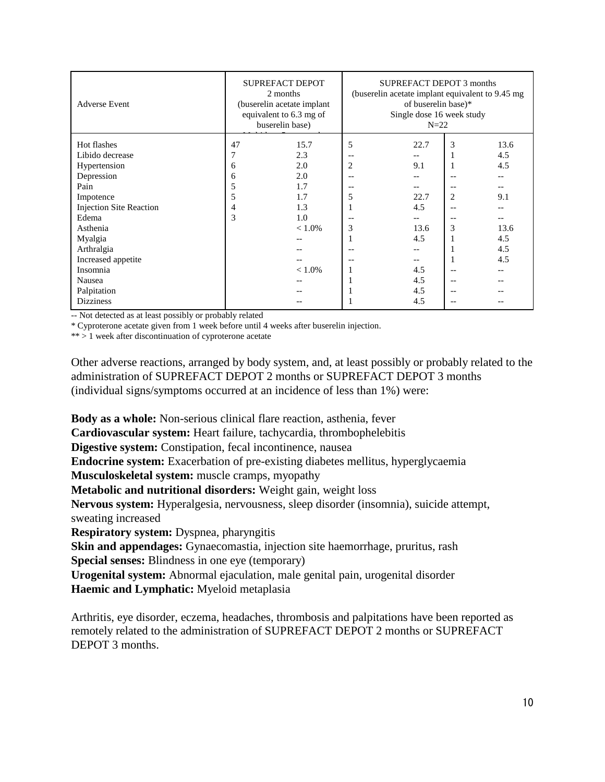| <b>Adverse Event</b>           | <b>SUPREFACT DEPOT</b><br>2 months<br>(buserelin acetate implant<br>equivalent to 6.3 mg of<br>buserelin base) |           | SUPREFACT DEPOT 3 months<br>(buserelin acetate implant equivalent to 9.45 mg)<br>of buserelin base)*<br>Single dose 16 week study<br>$N=22$ |      |                |       |
|--------------------------------|----------------------------------------------------------------------------------------------------------------|-----------|---------------------------------------------------------------------------------------------------------------------------------------------|------|----------------|-------|
| Hot flashes                    | 47                                                                                                             | 15.7      | 5                                                                                                                                           | 22.7 | 3              | 13.6  |
| Libido decrease                | 7                                                                                                              | 2.3       | $-$                                                                                                                                         |      |                | 4.5   |
| Hypertension                   | 6                                                                                                              | 2.0       | 2                                                                                                                                           | 9.1  |                | 4.5   |
| Depression                     | 6                                                                                                              | 2.0       |                                                                                                                                             |      | $-$            |       |
| Pain                           | 5                                                                                                              | 1.7       | $-$                                                                                                                                         | $-$  | $-$            | --    |
| Impotence                      | 5                                                                                                              | 1.7       | 5                                                                                                                                           | 22.7 | $\overline{c}$ | 9.1   |
| <b>Injection Site Reaction</b> | 4                                                                                                              | 1.3       |                                                                                                                                             | 4.5  |                |       |
| Edema                          | 3                                                                                                              | 1.0       |                                                                                                                                             | --   |                | $- -$ |
| Asthenia                       |                                                                                                                | $< 1.0\%$ | 3                                                                                                                                           | 13.6 | 3              | 13.6  |
| Myalgia                        |                                                                                                                |           |                                                                                                                                             | 4.5  |                | 4.5   |
| Arthralgia                     |                                                                                                                |           |                                                                                                                                             |      |                | 4.5   |
| Increased appetite             |                                                                                                                |           |                                                                                                                                             |      |                | 4.5   |
| Insomnia                       |                                                                                                                | $< 1.0\%$ |                                                                                                                                             | 4.5  |                |       |
| Nausea                         |                                                                                                                |           |                                                                                                                                             | 4.5  |                |       |
| Palpitation                    |                                                                                                                |           |                                                                                                                                             | 4.5  |                |       |
| <b>Dizziness</b>               |                                                                                                                |           |                                                                                                                                             | 4.5  | $-$            |       |

-- Not detected as at least possibly or probably related

\* Cyproterone acetate given from 1 week before until 4 weeks after buserelin injection.

\*\* > 1 week after discontinuation of cyproterone acetate

Other adverse reactions, arranged by body system, and, at least possibly or probably related to the administration of SUPREFACT DEPOT 2 months or SUPREFACT DEPOT 3 months (individual signs/symptoms occurred at an incidence of less than 1%) were:

**Body as a whole:** Non-serious clinical flare reaction, asthenia, fever

**Cardiovascular system:** Heart failure, tachycardia, thrombophelebitis

**Digestive system:** Constipation, fecal incontinence, nausea

**Endocrine system:** Exacerbation of pre-existing diabetes mellitus, hyperglycaemia

**Musculoskeletal system:** muscle cramps, myopathy

**Metabolic and nutritional disorders:** Weight gain, weight loss

**Nervous system:** Hyperalgesia, nervousness, sleep disorder (insomnia), suicide attempt, sweating increased

**Respiratory system:** Dyspnea, pharyngitis

**Skin and appendages:** Gynaecomastia, injection site haemorrhage, pruritus, rash **Special senses:** Blindness in one eye (temporary)

**Urogenital system:** Abnormal ejaculation, male genital pain, urogenital disorder **Haemic and Lymphatic:** Myeloid metaplasia

Arthritis, eye disorder, eczema, headaches, thrombosis and palpitations have been reported as remotely related to the administration of SUPREFACT DEPOT 2 months or SUPREFACT DEPOT 3 months.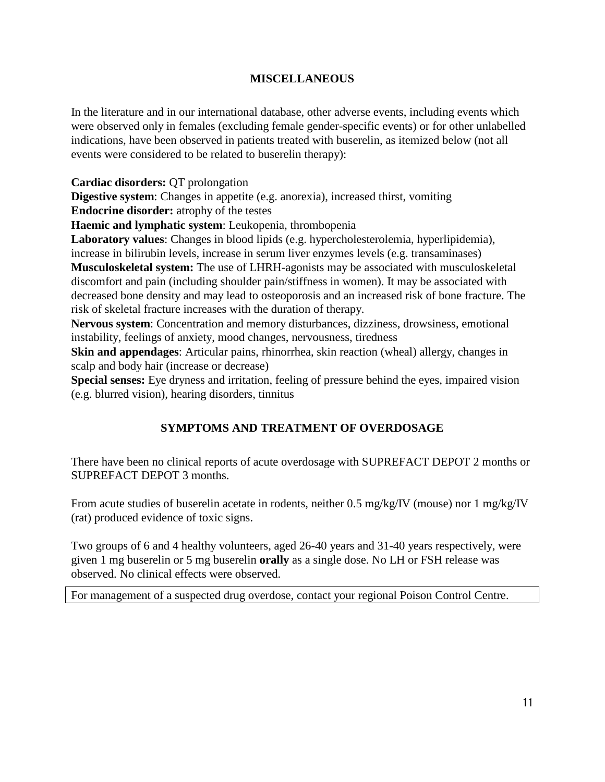# **MISCELLANEOUS**

In the literature and in our international database, other adverse events, including events which were observed only in females (excluding female gender-specific events) or for other unlabelled indications, have been observed in patients treated with buserelin, as itemized below (not all events were considered to be related to buserelin therapy):

**Cardiac disorders:** QT prolongation

**Digestive system**: Changes in appetite (e.g. anorexia), increased thirst, vomiting **Endocrine disorder:** atrophy of the testes

**Haemic and lymphatic system**: Leukopenia, thrombopenia

**Laboratory values**: Changes in blood lipids (e.g. hypercholesterolemia, hyperlipidemia), increase in bilirubin levels, increase in serum liver enzymes levels (e.g. transaminases) **Musculoskeletal system:** The use of LHRH-agonists may be associated with musculoskeletal discomfort and pain (including shoulder pain/stiffness in women). It may be associated with decreased bone density and may lead to osteoporosis and an increased risk of bone fracture. The risk of skeletal fracture increases with the duration of therapy.

**Nervous system**: Concentration and memory disturbances, dizziness, drowsiness, emotional instability, feelings of anxiety, mood changes, nervousness, tiredness

**Skin and appendages**: Articular pains, rhinorrhea, skin reaction (wheal) allergy, changes in scalp and body hair (increase or decrease)

**Special senses:** Eye dryness and irritation, feeling of pressure behind the eyes, impaired vision (e.g. blurred vision), hearing disorders, tinnitus

# **SYMPTOMS AND TREATMENT OF OVERDOSAGE**

There have been no clinical reports of acute overdosage with SUPREFACT DEPOT 2 months or SUPREFACT DEPOT 3 months.

From acute studies of buserelin acetate in rodents, neither 0.5 mg/kg/IV (mouse) nor 1 mg/kg/IV (rat) produced evidence of toxic signs.

Two groups of 6 and 4 healthy volunteers, aged 26-40 years and 31-40 years respectively, were given 1 mg buserelin or 5 mg buserelin **orally** as a single dose. No LH or FSH release was observed. No clinical effects were observed.

For management of a suspected drug overdose, contact your regional Poison Control Centre.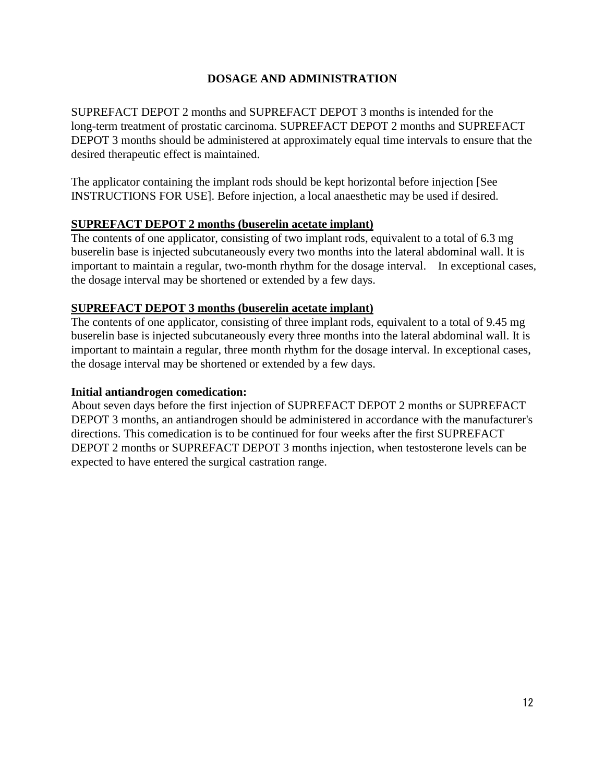# **DOSAGE AND ADMINISTRATION**

SUPREFACT DEPOT 2 months and SUPREFACT DEPOT 3 months is intended for the long-term treatment of prostatic carcinoma. SUPREFACT DEPOT 2 months and SUPREFACT DEPOT 3 months should be administered at approximately equal time intervals to ensure that the desired therapeutic effect is maintained.

The applicator containing the implant rods should be kept horizontal before injection [See INSTRUCTIONS FOR USE]. Before injection, a local anaesthetic may be used if desired.

# **SUPREFACT DEPOT 2 months (buserelin acetate implant)**

The contents of one applicator, consisting of two implant rods, equivalent to a total of 6.3 mg buserelin base is injected subcutaneously every two months into the lateral abdominal wall. It is important to maintain a regular, two-month rhythm for the dosage interval. In exceptional cases, the dosage interval may be shortened or extended by a few days.

#### **SUPREFACT DEPOT 3 months (buserelin acetate implant)**

The contents of one applicator, consisting of three implant rods, equivalent to a total of 9.45 mg buserelin base is injected subcutaneously every three months into the lateral abdominal wall. It is important to maintain a regular, three month rhythm for the dosage interval. In exceptional cases, the dosage interval may be shortened or extended by a few days.

#### **Initial antiandrogen comedication:**

About seven days before the first injection of SUPREFACT DEPOT 2 months or SUPREFACT DEPOT 3 months, an antiandrogen should be administered in accordance with the manufacturer's directions. This comedication is to be continued for four weeks after the first SUPREFACT DEPOT 2 months or SUPREFACT DEPOT 3 months injection, when testosterone levels can be expected to have entered the surgical castration range.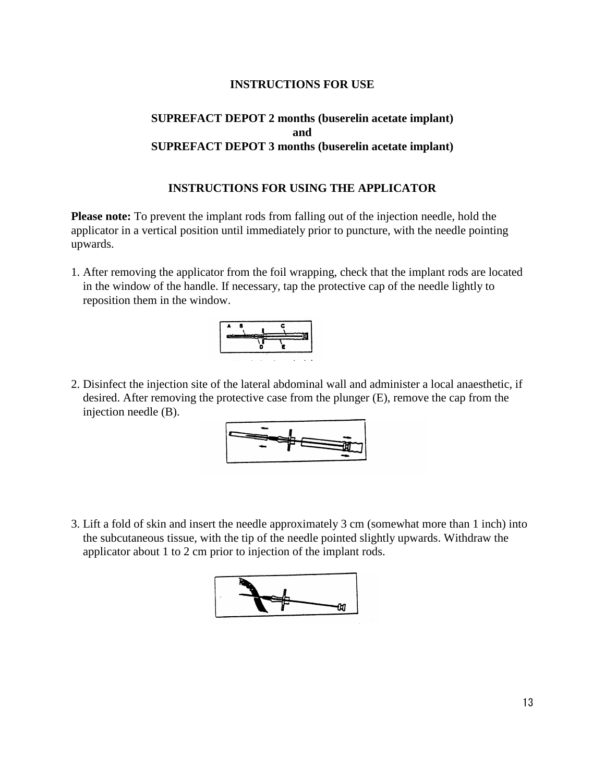## **INSTRUCTIONS FOR USE**

# **SUPREFACT DEPOT 2 months (buserelin acetate implant) and SUPREFACT DEPOT 3 months (buserelin acetate implant)**

#### **INSTRUCTIONS FOR USING THE APPLICATOR**

**Please note:** To prevent the implant rods from falling out of the injection needle, hold the applicator in a vertical position until immediately prior to puncture, with the needle pointing upwards.

1. After removing the applicator from the foil wrapping, check that the implant rods are located in the window of the handle. If necessary, tap the protective cap of the needle lightly to reposition them in the window.



2. Disinfect the injection site of the lateral abdominal wall and administer a local anaesthetic, if desired. After removing the protective case from the plunger (E), remove the cap from the injection needle (B).



3. Lift a fold of skin and insert the needle approximately 3 cm (somewhat more than 1 inch) into the subcutaneous tissue, with the tip of the needle pointed slightly upwards. Withdraw the applicator about 1 to 2 cm prior to injection of the implant rods.

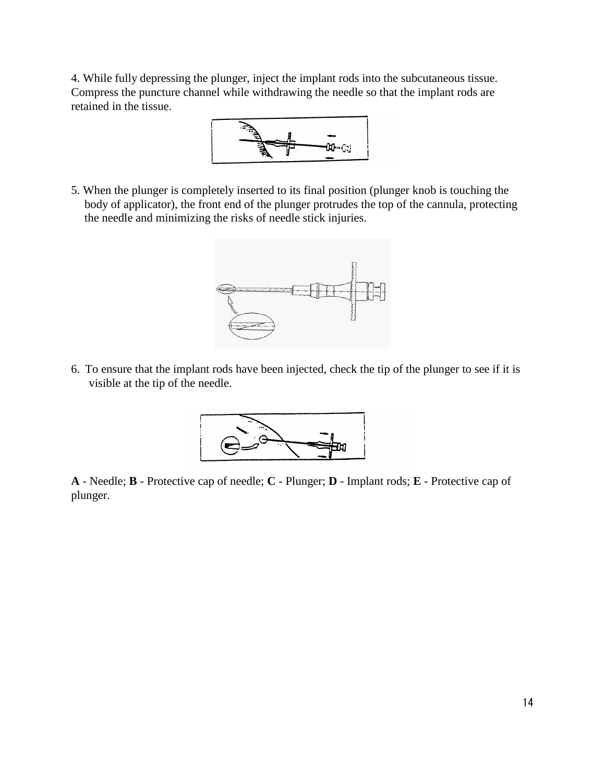4. While fully depressing the plunger, inject the implant rods into the subcutaneous tissue. Compress the puncture channel while withdrawing the needle so that the implant rods are retained in the tissue.



5. When the plunger is completely inserted to its final position (plunger knob is touching the body of applicator), the front end of the plunger protrudes the top of the cannula, protecting the needle and minimizing the risks of needle stick injuries.



6. To ensure that the implant rods have been injected, check the tip of the plunger to see if it is visible at the tip of the needle.



**A** - Needle; **B** - Protective cap of needle; **C** - Plunger; **D** - Implant rods; **E** - Protective cap of plunger.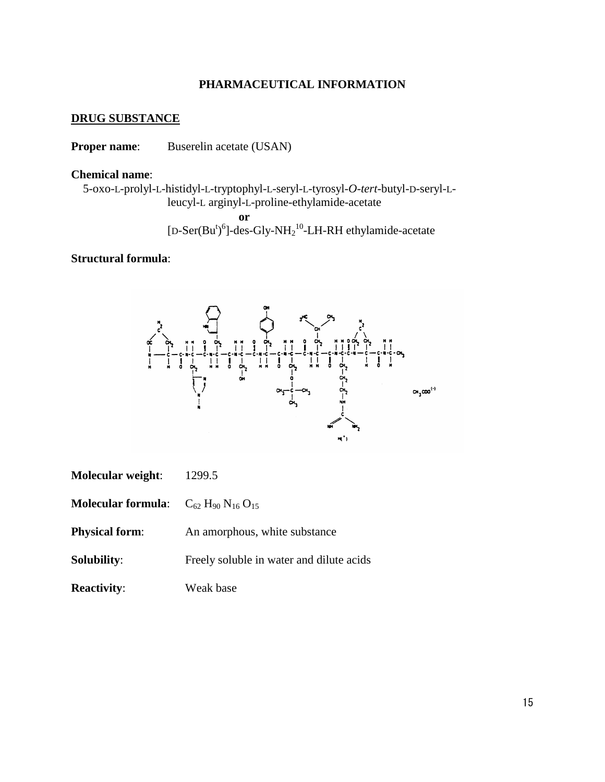#### **PHARMACEUTICAL INFORMATION**

#### **DRUG SUBSTANCE**

**Proper name:** Buserelin acetate (USAN)

#### **Chemical name**:

5-oxo-L-prolyl-L-histidyl-L-tryptophyl-L-seryl-L-tyrosyl-*O*-*tert*-butyl-D-seryl-Lleucyl-L arginyl-L-proline-ethylamide-acetate **or** [D-Ser( $Bu<sup>t</sup>$ )<sup>6</sup>]-des-Gly-NH<sub>2</sub><sup>10</sup>-LH-RH ethylamide-acetate

#### **Structural formula**:



| <b>Molecular weight:</b> | 1299.5 |
|--------------------------|--------|
|--------------------------|--------|

**Molecular formula:**  $C_{62} H_{90} N_{16} O_{15}$ 

**Physical form:** An amorphous, white substance

**Solubility:** Freely soluble in water and dilute acids

**Reactivity:** Weak base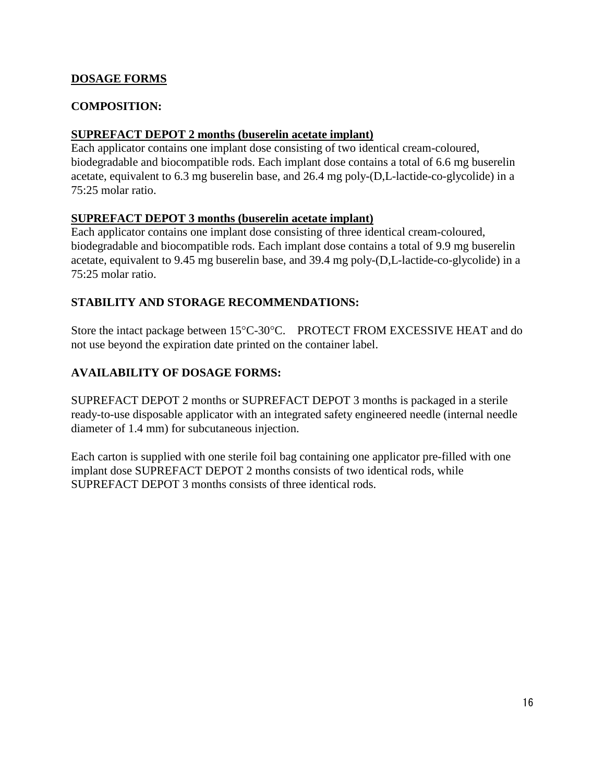# **DOSAGE FORMS**

# **COMPOSITION:**

# **SUPREFACT DEPOT 2 months (buserelin acetate implant)**

Each applicator contains one implant dose consisting of two identical cream-coloured, biodegradable and biocompatible rods. Each implant dose contains a total of 6.6 mg buserelin acetate, equivalent to 6.3 mg buserelin base, and 26.4 mg poly-(D,L-lactide-co-glycolide) in a 75:25 molar ratio.

# **SUPREFACT DEPOT 3 months (buserelin acetate implant)**

Each applicator contains one implant dose consisting of three identical cream-coloured, biodegradable and biocompatible rods. Each implant dose contains a total of 9.9 mg buserelin acetate, equivalent to 9.45 mg buserelin base, and 39.4 mg poly-(D,L-lactide-co-glycolide) in a 75:25 molar ratio.

# **STABILITY AND STORAGE RECOMMENDATIONS:**

Store the intact package between 15°C-30°C. PROTECT FROM EXCESSIVE HEAT and do not use beyond the expiration date printed on the container label.

# **AVAILABILITY OF DOSAGE FORMS:**

SUPREFACT DEPOT 2 months or SUPREFACT DEPOT 3 months is packaged in a sterile ready-to-use disposable applicator with an integrated safety engineered needle (internal needle diameter of 1.4 mm) for subcutaneous injection.

Each carton is supplied with one sterile foil bag containing one applicator pre-filled with one implant dose SUPREFACT DEPOT 2 months consists of two identical rods, while SUPREFACT DEPOT 3 months consists of three identical rods.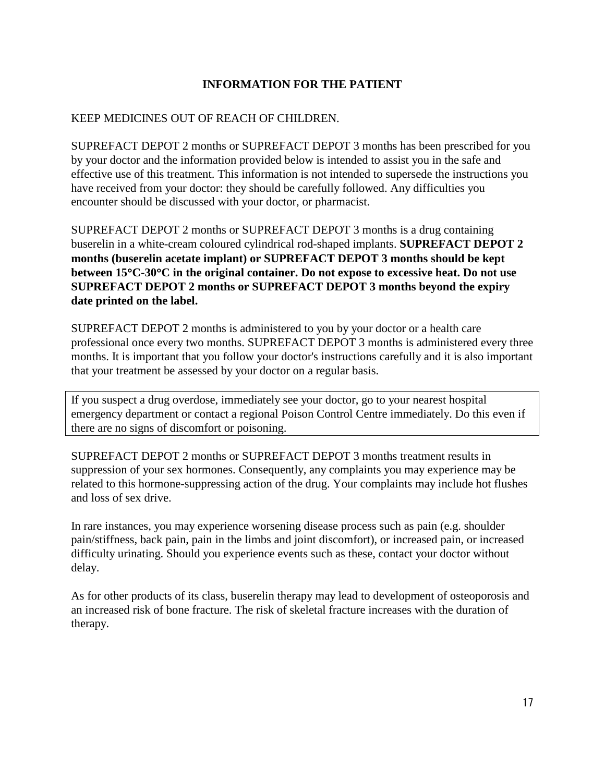# **INFORMATION FOR THE PATIENT**

#### KEEP MEDICINES OUT OF REACH OF CHILDREN.

SUPREFACT DEPOT 2 months or SUPREFACT DEPOT 3 months has been prescribed for you by your doctor and the information provided below is intended to assist you in the safe and effective use of this treatment. This information is not intended to supersede the instructions you have received from your doctor: they should be carefully followed. Any difficulties you encounter should be discussed with your doctor, or pharmacist.

SUPREFACT DEPOT 2 months or SUPREFACT DEPOT 3 months is a drug containing buserelin in a white-cream coloured cylindrical rod-shaped implants. **SUPREFACT DEPOT 2 months (buserelin acetate implant) or SUPREFACT DEPOT 3 months should be kept between 15**°**C-30**°**C in the original container. Do not expose to excessive heat. Do not use SUPREFACT DEPOT 2 months or SUPREFACT DEPOT 3 months beyond the expiry date printed on the label.**

SUPREFACT DEPOT 2 months is administered to you by your doctor or a health care professional once every two months. SUPREFACT DEPOT 3 months is administered every three months. It is important that you follow your doctor's instructions carefully and it is also important that your treatment be assessed by your doctor on a regular basis.

If you suspect a drug overdose, immediately see your doctor, go to your nearest hospital emergency department or contact a regional Poison Control Centre immediately. Do this even if there are no signs of discomfort or poisoning.

SUPREFACT DEPOT 2 months or SUPREFACT DEPOT 3 months treatment results in suppression of your sex hormones. Consequently, any complaints you may experience may be related to this hormone-suppressing action of the drug. Your complaints may include hot flushes and loss of sex drive.

In rare instances, you may experience worsening disease process such as pain (e.g. shoulder pain/stiffness, back pain, pain in the limbs and joint discomfort), or increased pain, or increased difficulty urinating. Should you experience events such as these, contact your doctor without delay.

As for other products of its class, buserelin therapy may lead to development of osteoporosis and an increased risk of bone fracture. The risk of skeletal fracture increases with the duration of therapy.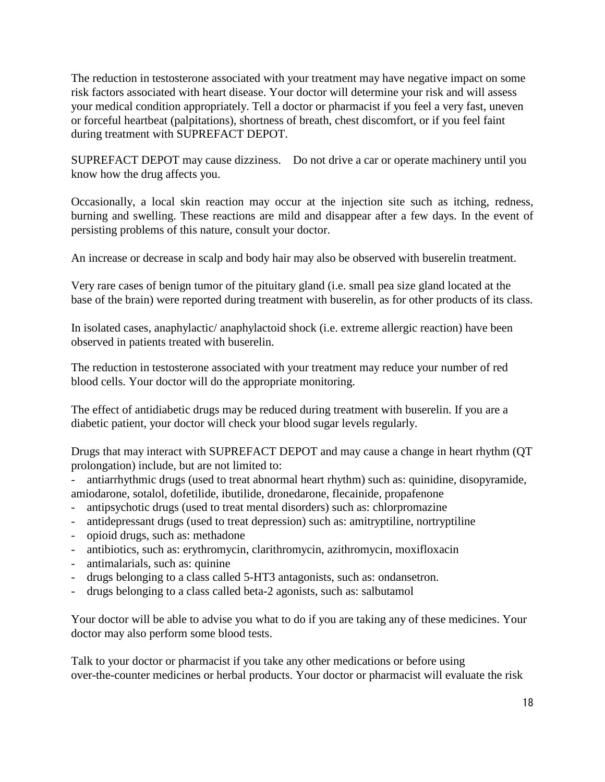The reduction in testosterone associated with your treatment may have negative impact on some risk factors associated with heart disease. Your doctor will determine your risk and will assess your medical condition appropriately. Tell a doctor or pharmacist if you feel a very fast, uneven or forceful heartbeat (palpitations), shortness of breath, chest discomfort, or if you feel faint during treatment with SUPREFACT DEPOT.

SUPREFACT DEPOT may cause dizziness. Do not drive a car or operate machinery until you know how the drug affects you.

Occasionally, a local skin reaction may occur at the injection site such as itching, redness, burning and swelling. These reactions are mild and disappear after a few days. In the event of persisting problems of this nature, consult your doctor.

An increase or decrease in scalp and body hair may also be observed with buserelin treatment.

Very rare cases of benign tumor of the pituitary gland (i.e. small pea size gland located at the base of the brain) were reported during treatment with buserelin, as for other products of its class.

In isolated cases, anaphylactic/ anaphylactoid shock (i.e. extreme allergic reaction) have been observed in patients treated with buserelin.

The reduction in testosterone associated with your treatment may reduce your number of red blood cells. Your doctor will do the appropriate monitoring.

The effect of antidiabetic drugs may be reduced during treatment with buserelin. If you are a diabetic patient, your doctor will check your blood sugar levels regularly.

Drugs that may interact with SUPREFACT DEPOT and may cause a change in heart rhythm (QT prolongation) include, but are not limited to:

- antiarrhythmic drugs (used to treat abnormal heart rhythm) such as: quinidine, disopyramide, amiodarone, sotalol, dofetilide, ibutilide, dronedarone, flecainide, propafenone
- antipsychotic drugs (used to treat mental disorders) such as: chlorpromazine
- antidepressant drugs (used to treat depression) such as: amitryptiline, nortryptiline
- opioid drugs, such as: methadone
- antibiotics, such as: erythromycin, clarithromycin, azithromycin, moxifloxacin
- antimalarials, such as: quinine
- drugs belonging to a class called 5-HT3 antagonists, such as: ondansetron.
- drugs belonging to a class called beta-2 agonists, such as: salbutamol

Your doctor will be able to advise you what to do if you are taking any of these medicines. Your doctor may also perform some blood tests.

Talk to your doctor or pharmacist if you take any other medications or before using over-the-counter medicines or herbal products. Your doctor or pharmacist will evaluate the risk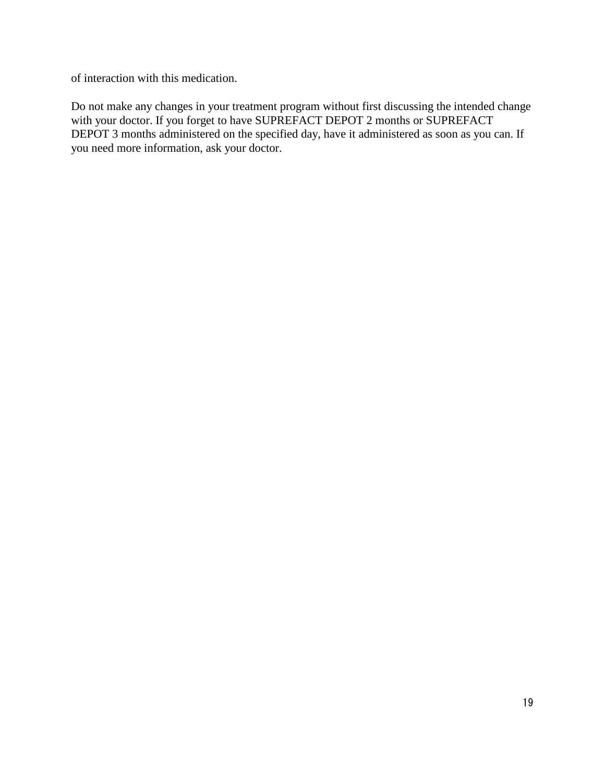of interaction with this medication.

Do not make any changes in your treatment program without first discussing the intended change with your doctor. If you forget to have SUPREFACT DEPOT 2 months or SUPREFACT DEPOT 3 months administered on the specified day, have it administered as soon as you can. If you need more information, ask your doctor.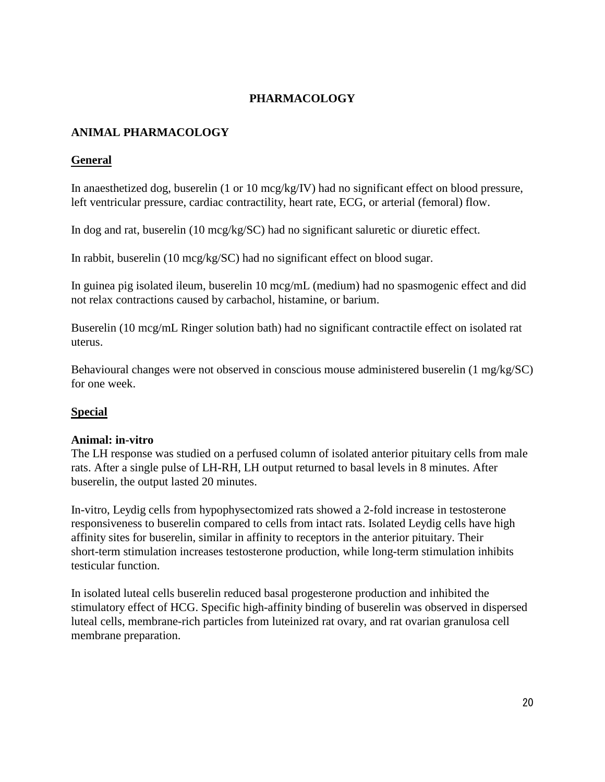# **PHARMACOLOGY**

# **ANIMAL PHARMACOLOGY**

# **General**

In anaesthetized dog, buserelin (1 or 10 mcg/kg/IV) had no significant effect on blood pressure, left ventricular pressure, cardiac contractility, heart rate, ECG, or arterial (femoral) flow.

In dog and rat, buserelin (10 mcg/kg/SC) had no significant saluretic or diuretic effect.

In rabbit, buserelin (10 mcg/kg/SC) had no significant effect on blood sugar.

In guinea pig isolated ileum, buserelin 10 mcg/mL (medium) had no spasmogenic effect and did not relax contractions caused by carbachol, histamine, or barium.

Buserelin (10 mcg/mL Ringer solution bath) had no significant contractile effect on isolated rat uterus.

Behavioural changes were not observed in conscious mouse administered buserelin (1 mg/kg/SC) for one week.

# **Special**

# **Animal: in-vitro**

The LH response was studied on a perfused column of isolated anterior pituitary cells from male rats. After a single pulse of LH-RH, LH output returned to basal levels in 8 minutes. After buserelin, the output lasted 20 minutes.

In-vitro, Leydig cells from hypophysectomized rats showed a 2-fold increase in testosterone responsiveness to buserelin compared to cells from intact rats. Isolated Leydig cells have high affinity sites for buserelin, similar in affinity to receptors in the anterior pituitary. Their short-term stimulation increases testosterone production, while long-term stimulation inhibits testicular function.

In isolated luteal cells buserelin reduced basal progesterone production and inhibited the stimulatory effect of HCG. Specific high-affinity binding of buserelin was observed in dispersed luteal cells, membrane-rich particles from luteinized rat ovary, and rat ovarian granulosa cell membrane preparation.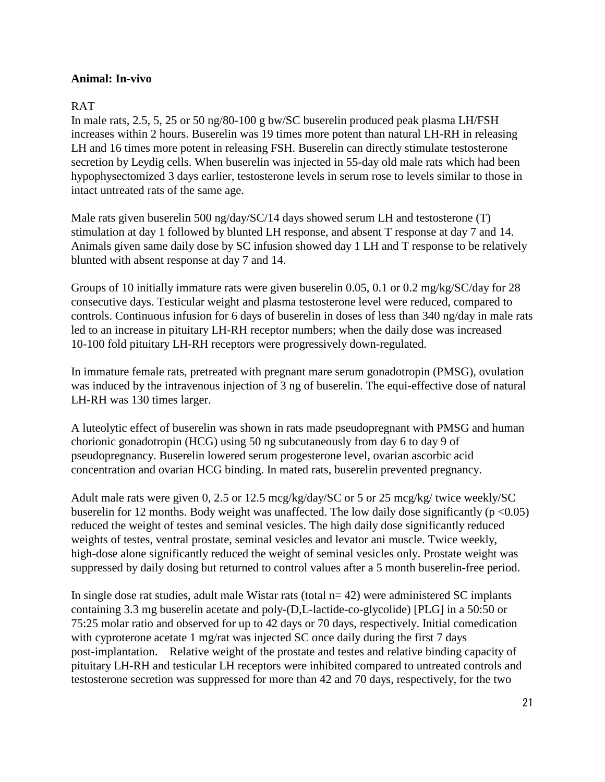#### **Animal: In-vivo**

## RAT

In male rats, 2.5, 5, 25 or 50 ng/80-100 g bw/SC buserelin produced peak plasma LH/FSH increases within 2 hours. Buserelin was 19 times more potent than natural LH-RH in releasing LH and 16 times more potent in releasing FSH. Buserelin can directly stimulate testosterone secretion by Leydig cells. When buserelin was injected in 55-day old male rats which had been hypophysectomized 3 days earlier, testosterone levels in serum rose to levels similar to those in intact untreated rats of the same age.

Male rats given buserelin 500 ng/day/SC/14 days showed serum LH and testosterone (T) stimulation at day 1 followed by blunted LH response, and absent T response at day 7 and 14. Animals given same daily dose by SC infusion showed day 1 LH and T response to be relatively blunted with absent response at day 7 and 14.

Groups of 10 initially immature rats were given buserelin 0.05, 0.1 or 0.2 mg/kg/SC/day for 28 consecutive days. Testicular weight and plasma testosterone level were reduced, compared to controls. Continuous infusion for 6 days of buserelin in doses of less than 340 ng/day in male rats led to an increase in pituitary LH-RH receptor numbers; when the daily dose was increased 10-100 fold pituitary LH-RH receptors were progressively down-regulated.

In immature female rats, pretreated with pregnant mare serum gonadotropin (PMSG), ovulation was induced by the intravenous injection of 3 ng of buserelin. The equi-effective dose of natural LH-RH was 130 times larger.

A luteolytic effect of buserelin was shown in rats made pseudopregnant with PMSG and human chorionic gonadotropin (HCG) using 50 ng subcutaneously from day 6 to day 9 of pseudopregnancy. Buserelin lowered serum progesterone level, ovarian ascorbic acid concentration and ovarian HCG binding. In mated rats, buserelin prevented pregnancy.

Adult male rats were given 0, 2.5 or 12.5 mcg/kg/day/SC or 5 or 25 mcg/kg/ twice weekly/SC buserelin for 12 months. Body weight was unaffected. The low daily dose significantly ( $p < 0.05$ ) reduced the weight of testes and seminal vesicles. The high daily dose significantly reduced weights of testes, ventral prostate, seminal vesicles and levator ani muscle. Twice weekly, high-dose alone significantly reduced the weight of seminal vesicles only. Prostate weight was suppressed by daily dosing but returned to control values after a 5 month buserelin-free period.

In single dose rat studies, adult male Wistar rats (total  $n=42$ ) were administered SC implants containing 3.3 mg buserelin acetate and poly-(D,L-lactide-co-glycolide) [PLG] in a 50:50 or 75:25 molar ratio and observed for up to 42 days or 70 days, respectively. Initial comedication with cyproterone acetate 1 mg/rat was injected SC once daily during the first 7 days post-implantation. Relative weight of the prostate and testes and relative binding capacity of pituitary LH-RH and testicular LH receptors were inhibited compared to untreated controls and testosterone secretion was suppressed for more than 42 and 70 days, respectively, for the two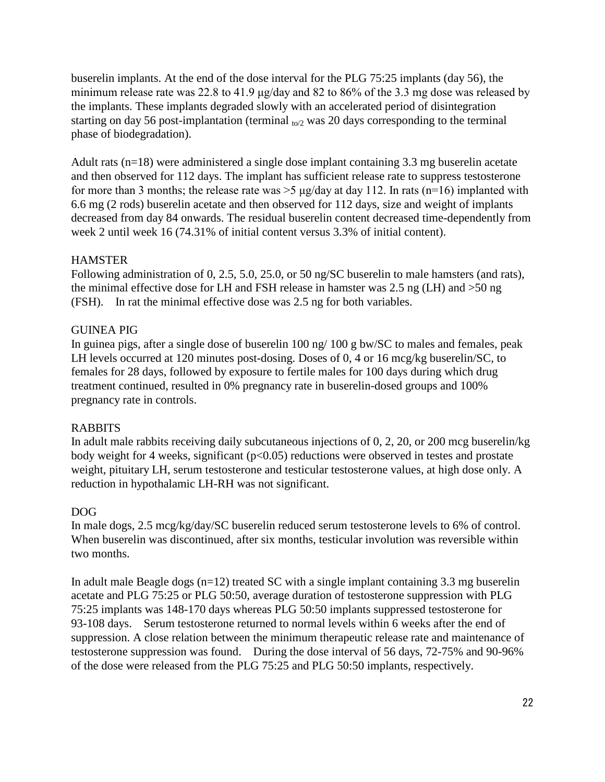buserelin implants. At the end of the dose interval for the PLG 75:25 implants (day 56), the minimum release rate was 22.8 to 41.9 μg/day and 82 to 86% of the 3.3 mg dose was released by the implants. These implants degraded slowly with an accelerated period of disintegration starting on day 56 post-implantation (terminal  $_{\text{to/2}}$  was 20 days corresponding to the terminal phase of biodegradation).

Adult rats (n=18) were administered a single dose implant containing 3.3 mg buserelin acetate and then observed for 112 days. The implant has sufficient release rate to suppress testosterone for more than 3 months; the release rate was  $>$  5 µg/day at day 112. In rats (n=16) implanted with 6.6 mg (2 rods) buserelin acetate and then observed for 112 days, size and weight of implants decreased from day 84 onwards. The residual buserelin content decreased time-dependently from week 2 until week 16 (74.31% of initial content versus 3.3% of initial content).

# **HAMSTER**

Following administration of 0, 2.5, 5.0, 25.0, or 50 ng/SC buserelin to male hamsters (and rats), the minimal effective dose for LH and FSH release in hamster was 2.5 ng (LH) and >50 ng (FSH). In rat the minimal effective dose was 2.5 ng for both variables.

#### GUINEA PIG

In guinea pigs, after a single dose of buserelin 100 ng/ 100 g bw/SC to males and females, peak LH levels occurred at 120 minutes post-dosing. Doses of 0, 4 or 16 mcg/kg buserelin/SC, to females for 28 days, followed by exposure to fertile males for 100 days during which drug treatment continued, resulted in 0% pregnancy rate in buserelin-dosed groups and 100% pregnancy rate in controls.

#### RABBITS

In adult male rabbits receiving daily subcutaneous injections of 0, 2, 20, or 200 mcg buserelin/kg body weight for 4 weeks, significant  $(p<0.05)$  reductions were observed in testes and prostate weight, pituitary LH, serum testosterone and testicular testosterone values, at high dose only. A reduction in hypothalamic LH-RH was not significant.

#### DOG

In male dogs, 2.5 mcg/kg/day/SC buserelin reduced serum testosterone levels to 6% of control. When buserelin was discontinued, after six months, testicular involution was reversible within two months.

In adult male Beagle dogs  $(n=12)$  treated SC with a single implant containing 3.3 mg buserelin acetate and PLG 75:25 or PLG 50:50, average duration of testosterone suppression with PLG 75:25 implants was 148-170 days whereas PLG 50:50 implants suppressed testosterone for 93-108 days. Serum testosterone returned to normal levels within 6 weeks after the end of suppression. A close relation between the minimum therapeutic release rate and maintenance of testosterone suppression was found. During the dose interval of 56 days, 72-75% and 90-96% of the dose were released from the PLG 75:25 and PLG 50:50 implants, respectively.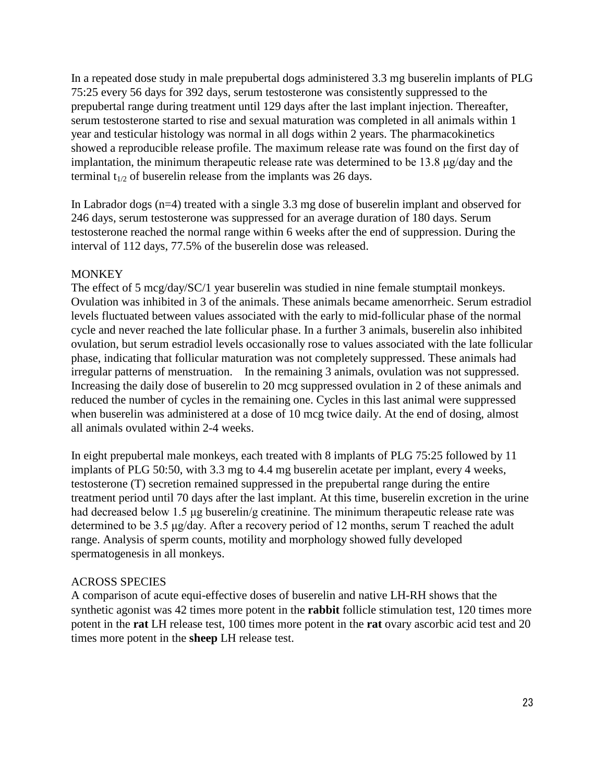In a repeated dose study in male prepubertal dogs administered 3.3 mg buserelin implants of PLG 75:25 every 56 days for 392 days, serum testosterone was consistently suppressed to the prepubertal range during treatment until 129 days after the last implant injection. Thereafter, serum testosterone started to rise and sexual maturation was completed in all animals within 1 year and testicular histology was normal in all dogs within 2 years. The pharmacokinetics showed a reproducible release profile. The maximum release rate was found on the first day of implantation, the minimum therapeutic release rate was determined to be 13.8 μg/day and the terminal  $t_{1/2}$  of buserelin release from the implants was 26 days.

In Labrador dogs (n=4) treated with a single 3.3 mg dose of buserelin implant and observed for 246 days, serum testosterone was suppressed for an average duration of 180 days. Serum testosterone reached the normal range within 6 weeks after the end of suppression. During the interval of 112 days, 77.5% of the buserelin dose was released.

#### **MONKEY**

The effect of 5 mcg/day/SC/1 year buserelin was studied in nine female stumptail monkeys. Ovulation was inhibited in 3 of the animals. These animals became amenorrheic. Serum estradiol levels fluctuated between values associated with the early to mid-follicular phase of the normal cycle and never reached the late follicular phase. In a further 3 animals, buserelin also inhibited ovulation, but serum estradiol levels occasionally rose to values associated with the late follicular phase, indicating that follicular maturation was not completely suppressed. These animals had irregular patterns of menstruation. In the remaining 3 animals, ovulation was not suppressed. Increasing the daily dose of buserelin to 20 mcg suppressed ovulation in 2 of these animals and reduced the number of cycles in the remaining one. Cycles in this last animal were suppressed when buserelin was administered at a dose of 10 mcg twice daily. At the end of dosing, almost all animals ovulated within 2-4 weeks.

In eight prepubertal male monkeys, each treated with 8 implants of PLG 75:25 followed by 11 implants of PLG 50:50, with 3.3 mg to 4.4 mg buserelin acetate per implant, every 4 weeks, testosterone (T) secretion remained suppressed in the prepubertal range during the entire treatment period until 70 days after the last implant. At this time, buserelin excretion in the urine had decreased below 1.5 μg buserelin/g creatinine. The minimum therapeutic release rate was determined to be 3.5 μg/day. After a recovery period of 12 months, serum T reached the adult range. Analysis of sperm counts, motility and morphology showed fully developed spermatogenesis in all monkeys.

# ACROSS SPECIES

A comparison of acute equi-effective doses of buserelin and native LH-RH shows that the synthetic agonist was 42 times more potent in the **rabbit** follicle stimulation test, 120 times more potent in the **rat** LH release test, 100 times more potent in the **rat** ovary ascorbic acid test and 20 times more potent in the **sheep** LH release test.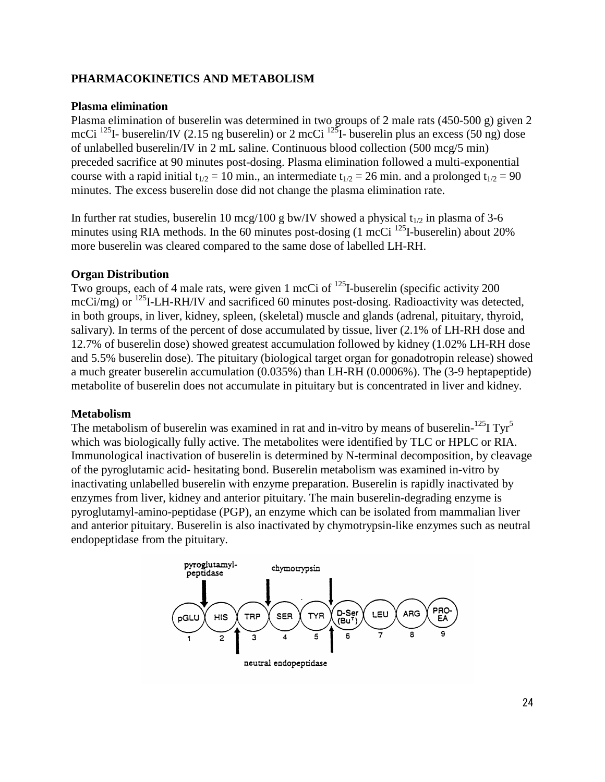## **PHARMACOKINETICS AND METABOLISM**

#### **Plasma elimination**

Plasma elimination of buserelin was determined in two groups of 2 male rats (450-500 g) given 2 mcCi<sup>125</sup>I- buserelin/IV (2.15 ng buserelin) or 2 mcCi<sup>125</sup>I- buserelin plus an excess (50 ng) dose of unlabelled buserelin/IV in 2 mL saline. Continuous blood collection (500 mcg/5 min) preceded sacrifice at 90 minutes post-dosing. Plasma elimination followed a multi-exponential course with a rapid initial  $t_{1/2} = 10$  min., an intermediate  $t_{1/2} = 26$  min. and a prolonged  $t_{1/2} = 90$ minutes. The excess buserelin dose did not change the plasma elimination rate.

In further rat studies, buserelin 10 mcg/100 g bw/IV showed a physical  $t_{1/2}$  in plasma of 3-6 minutes using RIA methods. In the 60 minutes post-dosing  $(1 \text{ mcCi}^{125})$ -buserelin) about 20% more buserelin was cleared compared to the same dose of labelled LH-RH.

#### **Organ Distribution**

Two groups, each of 4 male rats, were given 1 mcCi of <sup>125</sup>I-buserelin (specific activity 200 mcCi/mg) or <sup>125</sup>I-LH-RH/IV and sacrificed 60 minutes post-dosing. Radioactivity was detected, in both groups, in liver, kidney, spleen, (skeletal) muscle and glands (adrenal, pituitary, thyroid, salivary). In terms of the percent of dose accumulated by tissue, liver (2.1% of LH-RH dose and 12.7% of buserelin dose) showed greatest accumulation followed by kidney (1.02% LH-RH dose and 5.5% buserelin dose). The pituitary (biological target organ for gonadotropin release) showed a much greater buserelin accumulation (0.035%) than LH-RH (0.0006%). The (3-9 heptapeptide) metabolite of buserelin does not accumulate in pituitary but is concentrated in liver and kidney.

#### **Metabolism**

The metabolism of buserelin was examined in rat and in-vitro by means of buserelin- $^{125}I$  Tyr<sup>5</sup> which was biologically fully active. The metabolites were identified by TLC or HPLC or RIA. Immunological inactivation of buserelin is determined by N-terminal decomposition, by cleavage of the pyroglutamic acid- hesitating bond. Buserelin metabolism was examined in-vitro by inactivating unlabelled buserelin with enzyme preparation. Buserelin is rapidly inactivated by enzymes from liver, kidney and anterior pituitary. The main buserelin-degrading enzyme is pyroglutamyl-amino-peptidase (PGP), an enzyme which can be isolated from mammalian liver and anterior pituitary. Buserelin is also inactivated by chymotrypsin-like enzymes such as neutral endopeptidase from the pituitary.

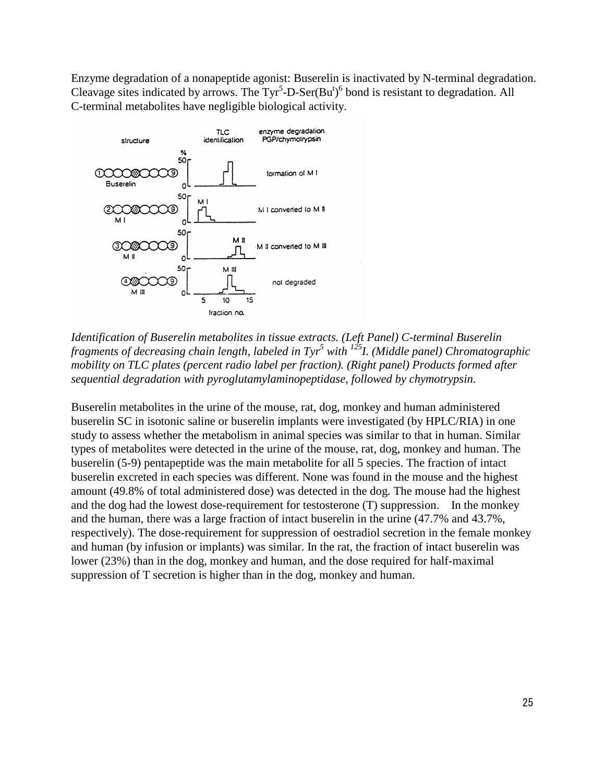Enzyme degradation of a nonapeptide agonist: Buserelin is inactivated by N-terminal degradation. Cleavage sites indicated by arrows. The Tyr<sup>5</sup>-D-Ser(Bu<sup>t</sup>)<sup>6</sup> bond is resistant to degradation. All C-terminal metabolites have negligible biological activity.



*Identification of Buserelin metabolites in tissue extracts. (Left Panel) C-terminal Buserelin fragments of decreasing chain length, labeled in Tyr<sup>5</sup> with 125I. (Middle panel) Chromatographic mobility on TLC plates (percent radio label per fraction). (Right panel) Products formed after sequential degradation with pyroglutamylaminopeptidase, followed by chymotrypsin.*

Buserelin metabolites in the urine of the mouse, rat, dog, monkey and human administered buserelin SC in isotonic saline or buserelin implants were investigated (by HPLC/RIA) in one study to assess whether the metabolism in animal species was similar to that in human. Similar types of metabolites were detected in the urine of the mouse, rat, dog, monkey and human. The buserelin (5-9) pentapeptide was the main metabolite for all 5 species. The fraction of intact buserelin excreted in each species was different. None was found in the mouse and the highest amount (49.8% of total administered dose) was detected in the dog. The mouse had the highest and the dog had the lowest dose-requirement for testosterone (T) suppression. In the monkey and the human, there was a large fraction of intact buserelin in the urine (47.7% and 43.7%, respectively). The dose-requirement for suppression of oestradiol secretion in the female monkey and human (by infusion or implants) was similar. In the rat, the fraction of intact buserelin was lower (23%) than in the dog, monkey and human, and the dose required for half-maximal suppression of T secretion is higher than in the dog, monkey and human.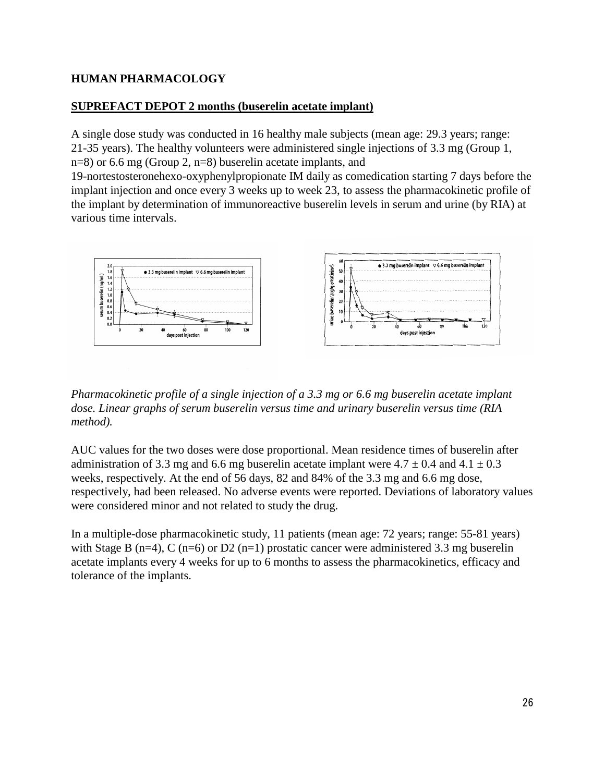# **HUMAN PHARMACOLOGY**

# **SUPREFACT DEPOT 2 months (buserelin acetate implant)**

A single dose study was conducted in 16 healthy male subjects (mean age: 29.3 years; range: 21-35 years). The healthy volunteers were administered single injections of 3.3 mg (Group 1, n=8) or 6.6 mg (Group 2, n=8) buserelin acetate implants, and

19-nortestosteronehexo-oxyphenylpropionate IM daily as comedication starting 7 days before the implant injection and once every 3 weeks up to week 23, to assess the pharmacokinetic profile of the implant by determination of immunoreactive buserelin levels in serum and urine (by RIA) at various time intervals.



*Pharmacokinetic profile of a single injection of a 3.3 mg or 6.6 mg buserelin acetate implant dose. Linear graphs of serum buserelin versus time and urinary buserelin versus time (RIA method).*

AUC values for the two doses were dose proportional. Mean residence times of buserelin after administration of 3.3 mg and 6.6 mg buserelin acetate implant were  $4.7 \pm 0.4$  and  $4.1 \pm 0.3$ weeks, respectively. At the end of 56 days, 82 and 84% of the 3.3 mg and 6.6 mg dose, respectively, had been released. No adverse events were reported. Deviations of laboratory values were considered minor and not related to study the drug.

In a multiple-dose pharmacokinetic study, 11 patients (mean age: 72 years; range: 55-81 years) with Stage B (n=4), C (n=6) or D2 (n=1) prostatic cancer were administered 3.3 mg buserelin acetate implants every 4 weeks for up to 6 months to assess the pharmacokinetics, efficacy and tolerance of the implants.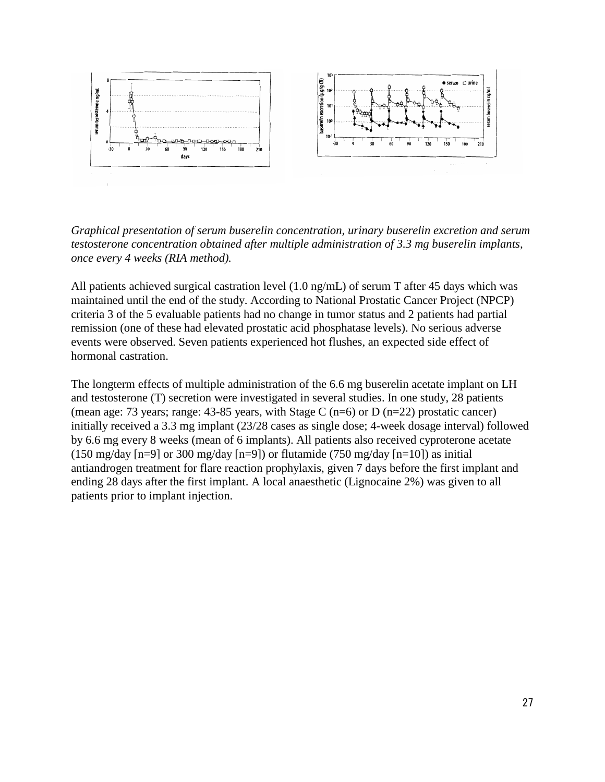

*Graphical presentation of serum buserelin concentration, urinary buserelin excretion and serum testosterone concentration obtained after multiple administration of 3.3 mg buserelin implants, once every 4 weeks (RIA method).*

All patients achieved surgical castration level (1.0 ng/mL) of serum T after 45 days which was maintained until the end of the study. According to National Prostatic Cancer Project (NPCP) criteria 3 of the 5 evaluable patients had no change in tumor status and 2 patients had partial remission (one of these had elevated prostatic acid phosphatase levels). No serious adverse events were observed. Seven patients experienced hot flushes, an expected side effect of hormonal castration.

The longterm effects of multiple administration of the 6.6 mg buserelin acetate implant on LH and testosterone (T) secretion were investigated in several studies. In one study, 28 patients (mean age: 73 years; range: 43-85 years, with Stage C (n=6) or D (n=22) prostatic cancer) initially received a 3.3 mg implant (23/28 cases as single dose; 4-week dosage interval) followed by 6.6 mg every 8 weeks (mean of 6 implants). All patients also received cyproterone acetate (150 mg/day  $[n=9]$  or 300 mg/day  $[n=9]$ ) or flutamide (750 mg/day  $[n=10]$ ) as initial antiandrogen treatment for flare reaction prophylaxis, given 7 days before the first implant and ending 28 days after the first implant. A local anaesthetic (Lignocaine 2%) was given to all patients prior to implant injection.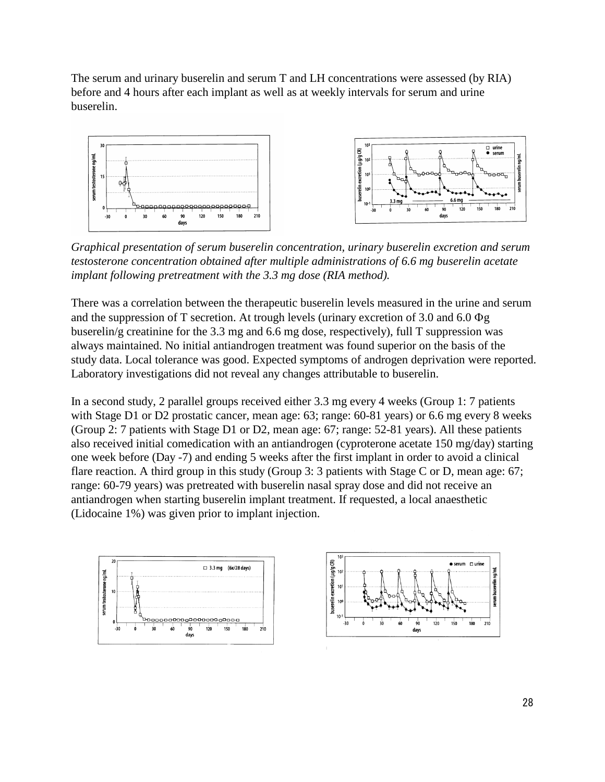The serum and urinary buserelin and serum T and LH concentrations were assessed (by RIA) before and 4 hours after each implant as well as at weekly intervals for serum and urine buserelin.



*Graphical presentation of serum buserelin concentration, urinary buserelin excretion and serum testosterone concentration obtained after multiple administrations of 6.6 mg buserelin acetate implant following pretreatment with the 3.3 mg dose (RIA method).*

There was a correlation between the therapeutic buserelin levels measured in the urine and serum and the suppression of T secretion. At trough levels (urinary excretion of 3.0 and 6.0 Φg buserelin/g creatinine for the 3.3 mg and 6.6 mg dose, respectively), full T suppression was always maintained. No initial antiandrogen treatment was found superior on the basis of the study data. Local tolerance was good. Expected symptoms of androgen deprivation were reported. Laboratory investigations did not reveal any changes attributable to buserelin.

In a second study, 2 parallel groups received either 3.3 mg every 4 weeks (Group 1: 7 patients with Stage D1 or D2 prostatic cancer, mean age: 63; range: 60-81 years) or 6.6 mg every 8 weeks (Group 2: 7 patients with Stage D1 or D2, mean age: 67; range: 52-81 years). All these patients also received initial comedication with an antiandrogen (cyproterone acetate 150 mg/day) starting one week before (Day -7) and ending 5 weeks after the first implant in order to avoid a clinical flare reaction. A third group in this study (Group 3: 3 patients with Stage C or D, mean age: 67; range: 60-79 years) was pretreated with buserelin nasal spray dose and did not receive an antiandrogen when starting buserelin implant treatment. If requested, a local anaesthetic (Lidocaine 1%) was given prior to implant injection.



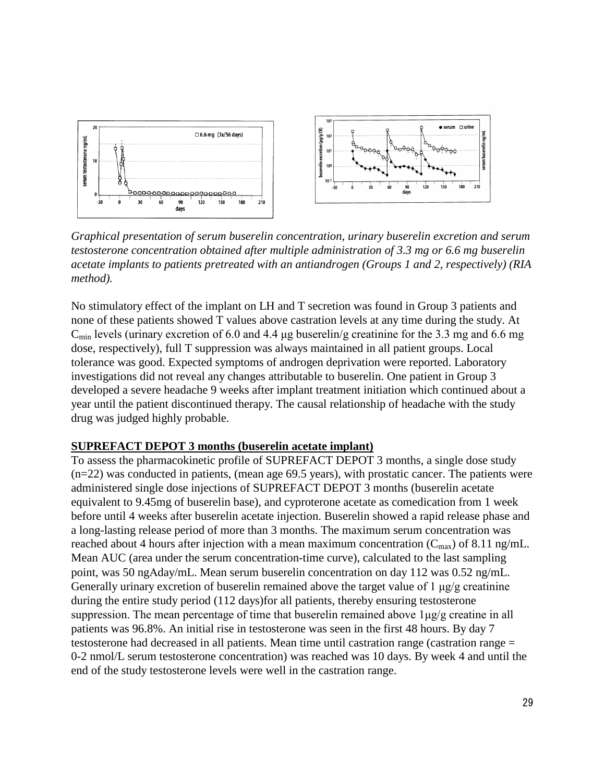

*Graphical presentation of serum buserelin concentration, urinary buserelin excretion and serum testosterone concentration obtained after multiple administration of 3.3 mg or 6.6 mg buserelin acetate implants to patients pretreated with an antiandrogen (Groups 1 and 2, respectively) (RIA method).*

No stimulatory effect of the implant on LH and T secretion was found in Group 3 patients and none of these patients showed T values above castration levels at any time during the study. At  $C_{\text{min}}$  levels (urinary excretion of 6.0 and 4.4 µg buserelin/g creatinine for the 3.3 mg and 6.6 mg dose, respectively), full T suppression was always maintained in all patient groups. Local tolerance was good. Expected symptoms of androgen deprivation were reported. Laboratory investigations did not reveal any changes attributable to buserelin. One patient in Group 3 developed a severe headache 9 weeks after implant treatment initiation which continued about a year until the patient discontinued therapy. The causal relationship of headache with the study drug was judged highly probable.

#### **SUPREFACT DEPOT 3 months (buserelin acetate implant)**

To assess the pharmacokinetic profile of SUPREFACT DEPOT 3 months, a single dose study (n=22) was conducted in patients, (mean age 69.5 years), with prostatic cancer. The patients were administered single dose injections of SUPREFACT DEPOT 3 months (buserelin acetate equivalent to 9.45mg of buserelin base), and cyproterone acetate as comedication from 1 week before until 4 weeks after buserelin acetate injection. Buserelin showed a rapid release phase and a long-lasting release period of more than 3 months. The maximum serum concentration was reached about 4 hours after injection with a mean maximum concentration  $(C_{\text{max}})$  of 8.11 ng/mL. Mean AUC (area under the serum concentration-time curve), calculated to the last sampling point, was 50 ngΑday/mL. Mean serum buserelin concentration on day 112 was 0.52 ng/mL. Generally urinary excretion of buserelin remained above the target value of 1 μg/g creatinine during the entire study period (112 days)for all patients, thereby ensuring testosterone suppression. The mean percentage of time that buserelin remained above  $1\mu g/g$  creatine in all patients was 96.8%. An initial rise in testosterone was seen in the first 48 hours. By day 7 testosterone had decreased in all patients. Mean time until castration range (castration range = 0-2 nmol/L serum testosterone concentration) was reached was 10 days. By week 4 and until the end of the study testosterone levels were well in the castration range.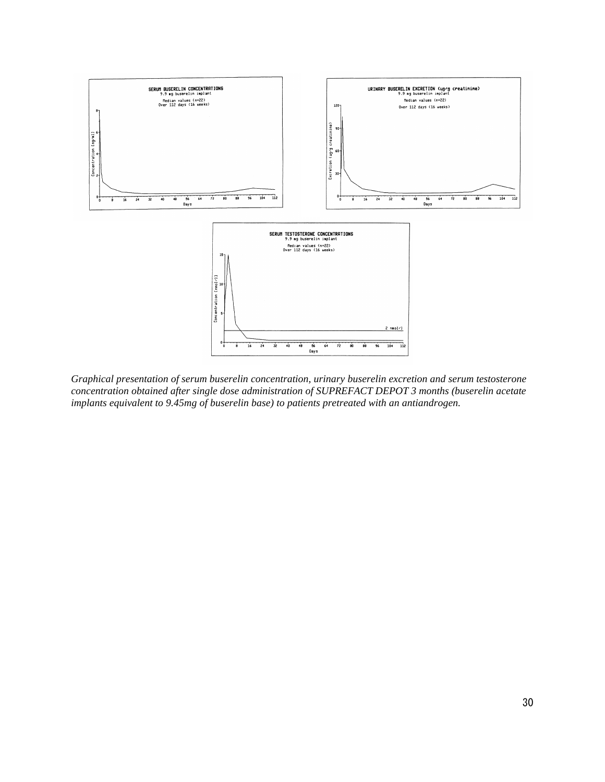

*Graphical presentation of serum buserelin concentration, urinary buserelin excretion and serum testosterone concentration obtained after single dose administration of SUPREFACT DEPOT 3 months (buserelin acetate implants equivalent to 9.45mg of buserelin base) to patients pretreated with an antiandrogen.*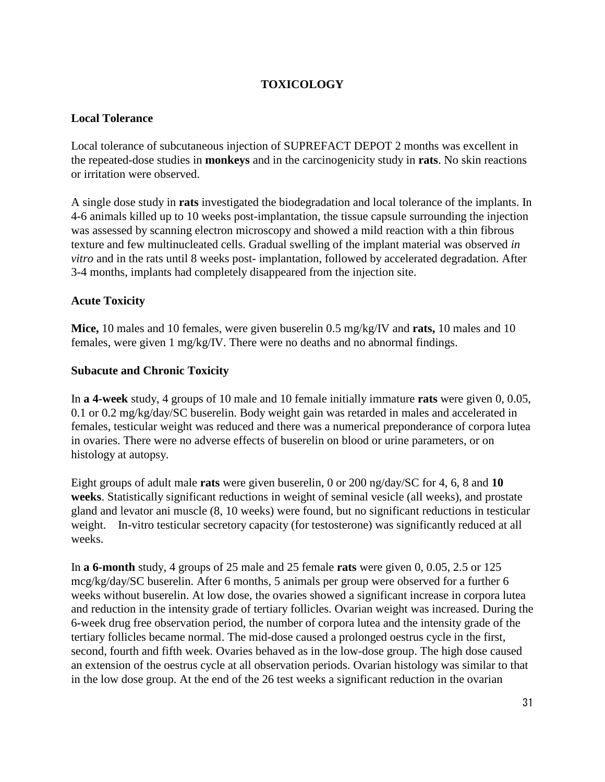# **TOXICOLOGY**

#### **Local Tolerance**

Local tolerance of subcutaneous injection of SUPREFACT DEPOT 2 months was excellent in the repeated-dose studies in **monkeys** and in the carcinogenicity study in **rats**. No skin reactions or irritation were observed.

A single dose study in **rats** investigated the biodegradation and local tolerance of the implants. In 4-6 animals killed up to 10 weeks post-implantation, the tissue capsule surrounding the injection was assessed by scanning electron microscopy and showed a mild reaction with a thin fibrous texture and few multinucleated cells. Gradual swelling of the implant material was observed *in vitro* and in the rats until 8 weeks post- implantation, followed by accelerated degradation. After 3-4 months, implants had completely disappeared from the injection site.

#### **Acute Toxicity**

**Mice,** 10 males and 10 females, were given buserelin 0.5 mg/kg/IV and **rats,** 10 males and 10 females, were given 1 mg/kg/IV. There were no deaths and no abnormal findings.

#### **Subacute and Chronic Toxicity**

In **a 4-week** study, 4 groups of 10 male and 10 female initially immature **rats** were given 0, 0.05, 0.1 or 0.2 mg/kg/day/SC buserelin. Body weight gain was retarded in males and accelerated in females, testicular weight was reduced and there was a numerical preponderance of corpora lutea in ovaries. There were no adverse effects of buserelin on blood or urine parameters, or on histology at autopsy.

Eight groups of adult male **rats** were given buserelin, 0 or 200 ng/day/SC for 4, 6, 8 and **10 weeks**. Statistically significant reductions in weight of seminal vesicle (all weeks), and prostate gland and levator ani muscle (8, 10 weeks) were found, but no significant reductions in testicular weight. In-vitro testicular secretory capacity (for testosterone) was significantly reduced at all weeks.

In **a 6-month** study, 4 groups of 25 male and 25 female **rats** were given 0, 0.05, 2.5 or 125 mcg/kg/day/SC buserelin. After 6 months, 5 animals per group were observed for a further 6 weeks without buserelin. At low dose, the ovaries showed a significant increase in corpora lutea and reduction in the intensity grade of tertiary follicles. Ovarian weight was increased. During the 6-week drug free observation period, the number of corpora lutea and the intensity grade of the tertiary follicles became normal. The mid-dose caused a prolonged oestrus cycle in the first, second, fourth and fifth week. Ovaries behaved as in the low-dose group. The high dose caused an extension of the oestrus cycle at all observation periods. Ovarian histology was similar to that in the low dose group. At the end of the 26 test weeks a significant reduction in the ovarian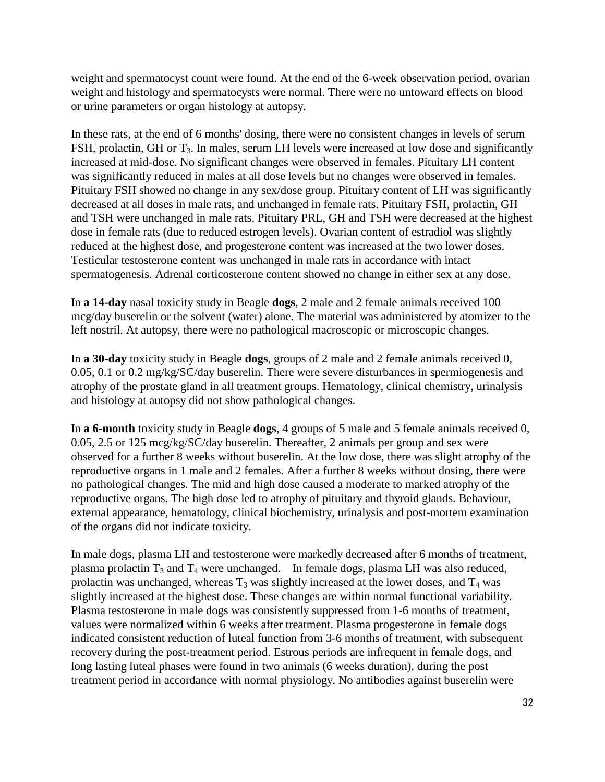weight and spermatocyst count were found. At the end of the 6-week observation period, ovarian weight and histology and spermatocysts were normal. There were no untoward effects on blood or urine parameters or organ histology at autopsy.

In these rats, at the end of 6 months' dosing, there were no consistent changes in levels of serum FSH, prolactin, GH or T<sub>3</sub>. In males, serum LH levels were increased at low dose and significantly increased at mid-dose. No significant changes were observed in females. Pituitary LH content was significantly reduced in males at all dose levels but no changes were observed in females. Pituitary FSH showed no change in any sex/dose group. Pituitary content of LH was significantly decreased at all doses in male rats, and unchanged in female rats. Pituitary FSH, prolactin, GH and TSH were unchanged in male rats. Pituitary PRL, GH and TSH were decreased at the highest dose in female rats (due to reduced estrogen levels). Ovarian content of estradiol was slightly reduced at the highest dose, and progesterone content was increased at the two lower doses. Testicular testosterone content was unchanged in male rats in accordance with intact spermatogenesis. Adrenal corticosterone content showed no change in either sex at any dose.

In **a 14-day** nasal toxicity study in Beagle **dogs**, 2 male and 2 female animals received 100 mcg/day buserelin or the solvent (water) alone. The material was administered by atomizer to the left nostril. At autopsy, there were no pathological macroscopic or microscopic changes.

In **a 30-day** toxicity study in Beagle **dogs**, groups of 2 male and 2 female animals received 0, 0.05, 0.1 or 0.2 mg/kg/SC/day buserelin. There were severe disturbances in spermiogenesis and atrophy of the prostate gland in all treatment groups. Hematology, clinical chemistry, urinalysis and histology at autopsy did not show pathological changes.

In **a 6-month** toxicity study in Beagle **dogs**, 4 groups of 5 male and 5 female animals received 0, 0.05, 2.5 or 125 mcg/kg/SC/day buserelin. Thereafter, 2 animals per group and sex were observed for a further 8 weeks without buserelin. At the low dose, there was slight atrophy of the reproductive organs in 1 male and 2 females. After a further 8 weeks without dosing, there were no pathological changes. The mid and high dose caused a moderate to marked atrophy of the reproductive organs. The high dose led to atrophy of pituitary and thyroid glands. Behaviour, external appearance, hematology, clinical biochemistry, urinalysis and post-mortem examination of the organs did not indicate toxicity.

In male dogs, plasma LH and testosterone were markedly decreased after 6 months of treatment, plasma prolactin  $T_3$  and  $T_4$  were unchanged. In female dogs, plasma LH was also reduced, prolactin was unchanged, whereas  $T_3$  was slightly increased at the lower doses, and  $T_4$  was slightly increased at the highest dose. These changes are within normal functional variability. Plasma testosterone in male dogs was consistently suppressed from 1-6 months of treatment, values were normalized within 6 weeks after treatment. Plasma progesterone in female dogs indicated consistent reduction of luteal function from 3-6 months of treatment, with subsequent recovery during the post-treatment period. Estrous periods are infrequent in female dogs, and long lasting luteal phases were found in two animals (6 weeks duration), during the post treatment period in accordance with normal physiology. No antibodies against buserelin were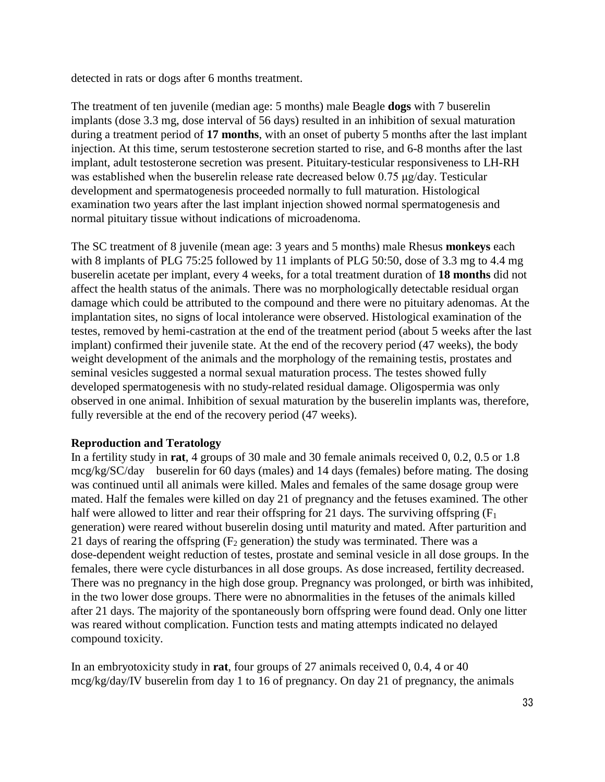detected in rats or dogs after 6 months treatment.

The treatment of ten juvenile (median age: 5 months) male Beagle **dogs** with 7 buserelin implants (dose 3.3 mg, dose interval of 56 days) resulted in an inhibition of sexual maturation during a treatment period of **17 months**, with an onset of puberty 5 months after the last implant injection. At this time, serum testosterone secretion started to rise, and 6-8 months after the last implant, adult testosterone secretion was present. Pituitary-testicular responsiveness to LH-RH was established when the buserelin release rate decreased below 0.75 μg/day. Testicular development and spermatogenesis proceeded normally to full maturation. Histological examination two years after the last implant injection showed normal spermatogenesis and normal pituitary tissue without indications of microadenoma.

The SC treatment of 8 juvenile (mean age: 3 years and 5 months) male Rhesus **monkeys** each with 8 implants of PLG 75:25 followed by 11 implants of PLG 50:50, dose of 3.3 mg to 4.4 mg buserelin acetate per implant, every 4 weeks, for a total treatment duration of **18 months** did not affect the health status of the animals. There was no morphologically detectable residual organ damage which could be attributed to the compound and there were no pituitary adenomas. At the implantation sites, no signs of local intolerance were observed. Histological examination of the testes, removed by hemi-castration at the end of the treatment period (about 5 weeks after the last implant) confirmed their juvenile state. At the end of the recovery period (47 weeks), the body weight development of the animals and the morphology of the remaining testis, prostates and seminal vesicles suggested a normal sexual maturation process. The testes showed fully developed spermatogenesis with no study-related residual damage. Oligospermia was only observed in one animal. Inhibition of sexual maturation by the buserelin implants was, therefore, fully reversible at the end of the recovery period (47 weeks).

#### **Reproduction and Teratology**

In a fertility study in **rat**, 4 groups of 30 male and 30 female animals received 0, 0.2, 0.5 or 1.8 mcg/kg/SC/day buserelin for 60 days (males) and 14 days (females) before mating. The dosing was continued until all animals were killed. Males and females of the same dosage group were mated. Half the females were killed on day 21 of pregnancy and the fetuses examined. The other half were allowed to litter and rear their offspring for 21 days. The surviving offspring  $(F_1)$ generation) were reared without buserelin dosing until maturity and mated. After parturition and 21 days of rearing the offspring  $(F_2)$  generation) the study was terminated. There was a dose-dependent weight reduction of testes, prostate and seminal vesicle in all dose groups. In the females, there were cycle disturbances in all dose groups. As dose increased, fertility decreased. There was no pregnancy in the high dose group. Pregnancy was prolonged, or birth was inhibited, in the two lower dose groups. There were no abnormalities in the fetuses of the animals killed after 21 days. The majority of the spontaneously born offspring were found dead. Only one litter was reared without complication. Function tests and mating attempts indicated no delayed compound toxicity.

In an embryotoxicity study in **rat**, four groups of 27 animals received 0, 0.4, 4 or 40 mcg/kg/day/IV buserelin from day 1 to 16 of pregnancy. On day 21 of pregnancy, the animals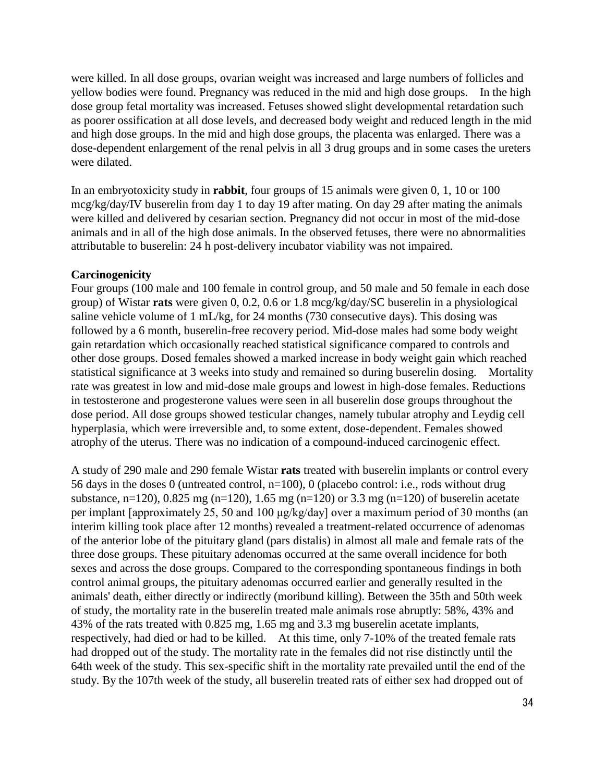were killed. In all dose groups, ovarian weight was increased and large numbers of follicles and yellow bodies were found. Pregnancy was reduced in the mid and high dose groups. In the high dose group fetal mortality was increased. Fetuses showed slight developmental retardation such as poorer ossification at all dose levels, and decreased body weight and reduced length in the mid and high dose groups. In the mid and high dose groups, the placenta was enlarged. There was a dose-dependent enlargement of the renal pelvis in all 3 drug groups and in some cases the ureters were dilated.

In an embryotoxicity study in **rabbit**, four groups of 15 animals were given 0, 1, 10 or 100 mcg/kg/day/IV buserelin from day 1 to day 19 after mating. On day 29 after mating the animals were killed and delivered by cesarian section. Pregnancy did not occur in most of the mid-dose animals and in all of the high dose animals. In the observed fetuses, there were no abnormalities attributable to buserelin: 24 h post-delivery incubator viability was not impaired.

#### **Carcinogenicity**

Four groups (100 male and 100 female in control group, and 50 male and 50 female in each dose group) of Wistar **rats** were given 0, 0.2, 0.6 or 1.8 mcg/kg/day/SC buserelin in a physiological saline vehicle volume of 1 mL/kg, for 24 months (730 consecutive days). This dosing was followed by a 6 month, buserelin-free recovery period. Mid-dose males had some body weight gain retardation which occasionally reached statistical significance compared to controls and other dose groups. Dosed females showed a marked increase in body weight gain which reached statistical significance at 3 weeks into study and remained so during buserelin dosing. Mortality rate was greatest in low and mid-dose male groups and lowest in high-dose females. Reductions in testosterone and progesterone values were seen in all buserelin dose groups throughout the dose period. All dose groups showed testicular changes, namely tubular atrophy and Leydig cell hyperplasia, which were irreversible and, to some extent, dose-dependent. Females showed atrophy of the uterus. There was no indication of a compound-induced carcinogenic effect.

A study of 290 male and 290 female Wistar **rats** treated with buserelin implants or control every 56 days in the doses 0 (untreated control, n=100), 0 (placebo control: i.e., rods without drug substance, n=120), 0.825 mg (n=120), 1.65 mg (n=120) or 3.3 mg (n=120) of buserelin acetate per implant [approximately 25, 50 and 100 μg/kg/day] over a maximum period of 30 months (an interim killing took place after 12 months) revealed a treatment-related occurrence of adenomas of the anterior lobe of the pituitary gland (pars distalis) in almost all male and female rats of the three dose groups. These pituitary adenomas occurred at the same overall incidence for both sexes and across the dose groups. Compared to the corresponding spontaneous findings in both control animal groups, the pituitary adenomas occurred earlier and generally resulted in the animals' death, either directly or indirectly (moribund killing). Between the 35th and 50th week of study, the mortality rate in the buserelin treated male animals rose abruptly: 58%, 43% and 43% of the rats treated with 0.825 mg, 1.65 mg and 3.3 mg buserelin acetate implants, respectively, had died or had to be killed. At this time, only 7-10% of the treated female rats had dropped out of the study. The mortality rate in the females did not rise distinctly until the 64th week of the study. This sex-specific shift in the mortality rate prevailed until the end of the study. By the 107th week of the study, all buserelin treated rats of either sex had dropped out of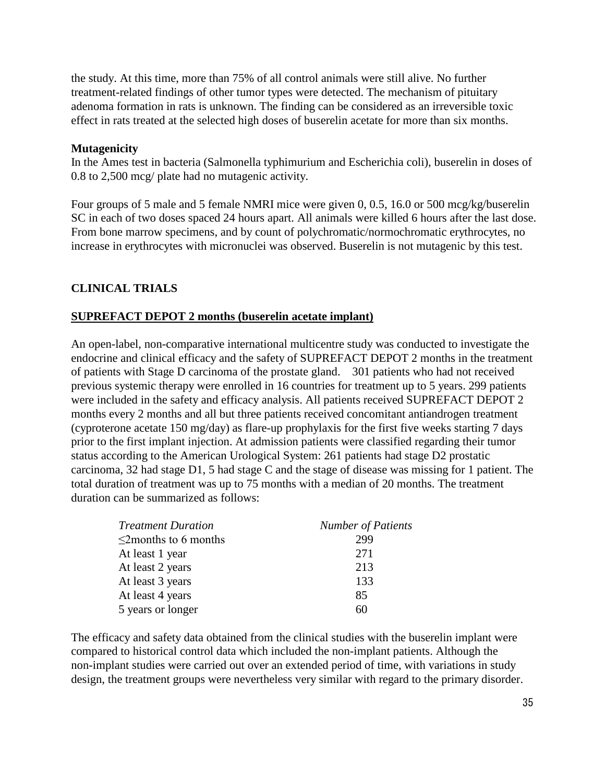the study. At this time, more than 75% of all control animals were still alive. No further treatment-related findings of other tumor types were detected. The mechanism of pituitary adenoma formation in rats is unknown. The finding can be considered as an irreversible toxic effect in rats treated at the selected high doses of buserelin acetate for more than six months.

#### **Mutagenicity**

In the Ames test in bacteria (Salmonella typhimurium and Escherichia coli), buserelin in doses of 0.8 to 2,500 mcg/ plate had no mutagenic activity.

Four groups of 5 male and 5 female NMRI mice were given 0, 0.5, 16.0 or 500 mcg/kg/buserelin SC in each of two doses spaced 24 hours apart. All animals were killed 6 hours after the last dose. From bone marrow specimens, and by count of polychromatic/normochromatic erythrocytes, no increase in erythrocytes with micronuclei was observed. Buserelin is not mutagenic by this test.

# **CLINICAL TRIALS**

#### **SUPREFACT DEPOT 2 months (buserelin acetate implant)**

An open-label, non-comparative international multicentre study was conducted to investigate the endocrine and clinical efficacy and the safety of SUPREFACT DEPOT 2 months in the treatment of patients with Stage D carcinoma of the prostate gland. 301 patients who had not received previous systemic therapy were enrolled in 16 countries for treatment up to 5 years. 299 patients were included in the safety and efficacy analysis. All patients received SUPREFACT DEPOT 2 months every 2 months and all but three patients received concomitant antiandrogen treatment (cyproterone acetate 150 mg/day) as flare-up prophylaxis for the first five weeks starting 7 days prior to the first implant injection. At admission patients were classified regarding their tumor status according to the American Urological System: 261 patients had stage D2 prostatic carcinoma, 32 had stage D1, 5 had stage C and the stage of disease was missing for 1 patient. The total duration of treatment was up to 75 months with a median of 20 months. The treatment duration can be summarized as follows:

| <b>Treatment Duration</b>  | <b>Number of Patients</b> |  |  |
|----------------------------|---------------------------|--|--|
| $\leq$ 2months to 6 months | 299                       |  |  |
| At least 1 year            | 271                       |  |  |
| At least 2 years           | 213                       |  |  |
| At least 3 years           | 133                       |  |  |
| At least 4 years           | 85                        |  |  |
| 5 years or longer          | 60                        |  |  |

The efficacy and safety data obtained from the clinical studies with the buserelin implant were compared to historical control data which included the non-implant patients. Although the non-implant studies were carried out over an extended period of time, with variations in study design, the treatment groups were nevertheless very similar with regard to the primary disorder.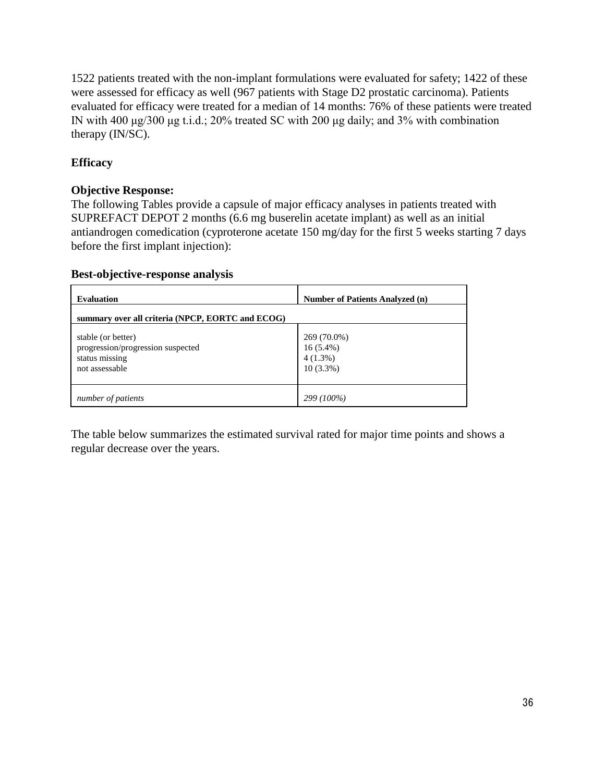1522 patients treated with the non-implant formulations were evaluated for safety; 1422 of these were assessed for efficacy as well (967 patients with Stage D2 prostatic carcinoma). Patients evaluated for efficacy were treated for a median of 14 months: 76% of these patients were treated IN with 400 μg/300 μg t.i.d.; 20% treated SC with 200 μg daily; and 3% with combination therapy (IN/SC).

# **Efficacy**

## **Objective Response:**

The following Tables provide a capsule of major efficacy analyses in patients treated with SUPREFACT DEPOT 2 months (6.6 mg buserelin acetate implant) as well as an initial antiandrogen comedication (cyproterone acetate 150 mg/day for the first 5 weeks starting 7 days before the first implant injection):

#### **Best-objective-response analysis**

| <b>Evaluation</b>                                                                           | Number of Patients Analyzed (n)                         |
|---------------------------------------------------------------------------------------------|---------------------------------------------------------|
| summary over all criteria (NPCP, EORTC and ECOG)                                            |                                                         |
| stable (or better)<br>progression/progression suspected<br>status missing<br>not assessable | 269 (70.0%)<br>$16(5.4\%)$<br>$4(1.3\%)$<br>$10(3.3\%)$ |
| number of patients                                                                          | 299 (100%)                                              |

The table below summarizes the estimated survival rated for major time points and shows a regular decrease over the years.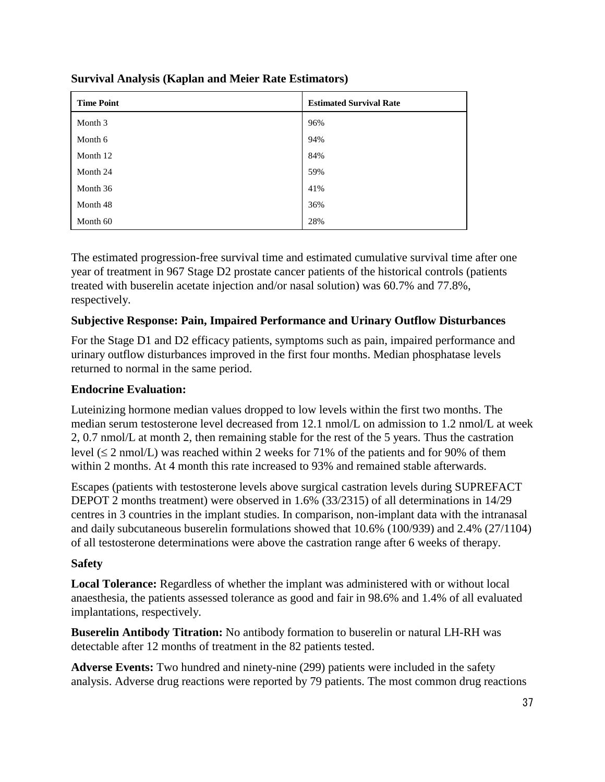| <b>Time Point</b> | <b>Estimated Survival Rate</b> |
|-------------------|--------------------------------|
| Month 3           | 96%                            |
| Month 6           | 94%                            |
| Month 12          | 84%                            |
| Month 24          | 59%                            |
| Month 36          | 41%                            |
| Month 48          | 36%                            |
| Month 60          | 28%                            |

**Survival Analysis (Kaplan and Meier Rate Estimators)**

The estimated progression-free survival time and estimated cumulative survival time after one year of treatment in 967 Stage D2 prostate cancer patients of the historical controls (patients treated with buserelin acetate injection and/or nasal solution) was 60.7% and 77.8%, respectively.

# **Subjective Response: Pain, Impaired Performance and Urinary Outflow Disturbances**

For the Stage D1 and D2 efficacy patients, symptoms such as pain, impaired performance and urinary outflow disturbances improved in the first four months. Median phosphatase levels returned to normal in the same period.

# **Endocrine Evaluation:**

Luteinizing hormone median values dropped to low levels within the first two months. The median serum testosterone level decreased from 12.1 nmol/L on admission to 1.2 nmol/L at week 2, 0.7 nmol/L at month 2, then remaining stable for the rest of the 5 years. Thus the castration level  $(\leq 2 \text{ nmol/L})$  was reached within 2 weeks for 71% of the patients and for 90% of them within 2 months. At 4 month this rate increased to 93% and remained stable afterwards.

Escapes (patients with testosterone levels above surgical castration levels during SUPREFACT DEPOT 2 months treatment) were observed in 1.6% (33/2315) of all determinations in 14/29 centres in 3 countries in the implant studies. In comparison, non-implant data with the intranasal and daily subcutaneous buserelin formulations showed that 10.6% (100/939) and 2.4% (27/1104) of all testosterone determinations were above the castration range after 6 weeks of therapy.

# **Safety**

**Local Tolerance:** Regardless of whether the implant was administered with or without local anaesthesia, the patients assessed tolerance as good and fair in 98.6% and 1.4% of all evaluated implantations, respectively.

**Buserelin Antibody Titration:** No antibody formation to buserelin or natural LH-RH was detectable after 12 months of treatment in the 82 patients tested.

**Adverse Events:** Two hundred and ninety-nine (299) patients were included in the safety analysis. Adverse drug reactions were reported by 79 patients. The most common drug reactions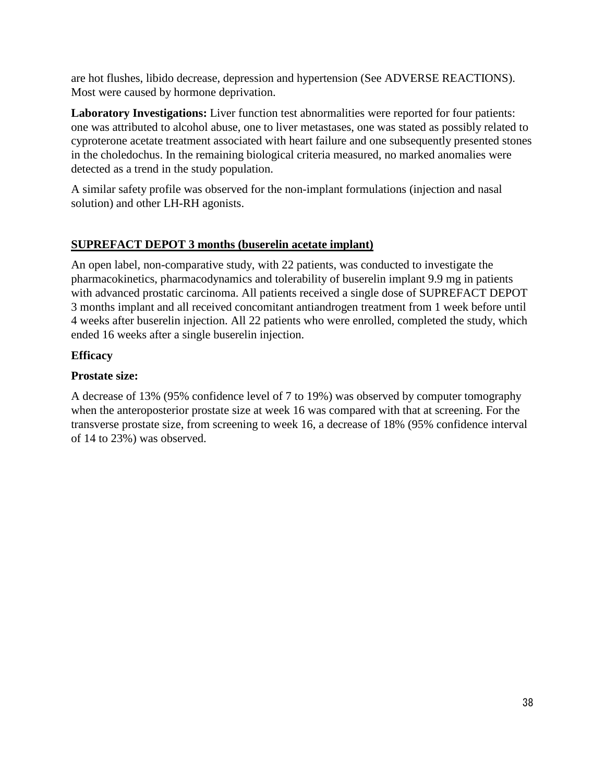are hot flushes, libido decrease, depression and hypertension (See ADVERSE REACTIONS). Most were caused by hormone deprivation.

**Laboratory Investigations:** Liver function test abnormalities were reported for four patients: one was attributed to alcohol abuse, one to liver metastases, one was stated as possibly related to cyproterone acetate treatment associated with heart failure and one subsequently presented stones in the choledochus. In the remaining biological criteria measured, no marked anomalies were detected as a trend in the study population.

A similar safety profile was observed for the non-implant formulations (injection and nasal solution) and other LH-RH agonists.

# **SUPREFACT DEPOT 3 months (buserelin acetate implant)**

An open label, non-comparative study, with 22 patients, was conducted to investigate the pharmacokinetics, pharmacodynamics and tolerability of buserelin implant 9.9 mg in patients with advanced prostatic carcinoma. All patients received a single dose of SUPREFACT DEPOT 3 months implant and all received concomitant antiandrogen treatment from 1 week before until 4 weeks after buserelin injection. All 22 patients who were enrolled, completed the study, which ended 16 weeks after a single buserelin injection.

# **Efficacy**

# **Prostate size:**

A decrease of 13% (95% confidence level of 7 to 19%) was observed by computer tomography when the anteroposterior prostate size at week 16 was compared with that at screening. For the transverse prostate size, from screening to week 16, a decrease of 18% (95% confidence interval of 14 to 23%) was observed.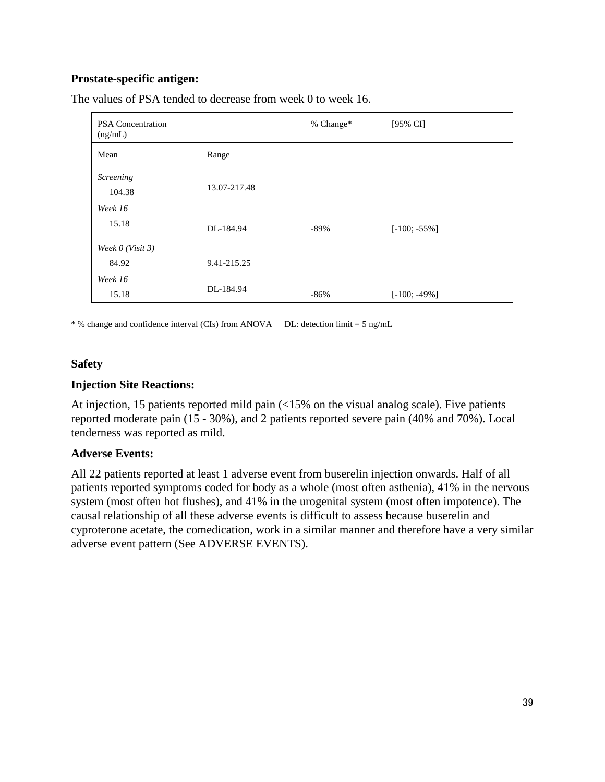## **Prostate-specific antigen:**

| <b>PSA Concentration</b><br>(ng/mL) |              | % Change* | [95% CI]        |
|-------------------------------------|--------------|-----------|-----------------|
| Mean                                | Range        |           |                 |
| Screening<br>104.38                 | 13.07-217.48 |           |                 |
| Week 16                             |              |           |                 |
| 15.18                               | DL-184.94    | -89%      | $[-100; -55\%]$ |
| Week $0$ (Visit 3)                  |              |           |                 |
| 84.92                               | 9.41-215.25  |           |                 |
| Week 16                             |              |           |                 |
| 15.18                               | DL-184.94    | $-86%$    | $[-100; -49\%]$ |

The values of PSA tended to decrease from week 0 to week 16.

\* % change and confidence interval (CIs) from ANOVA DL: detection limit = 5 ng/mL

#### **Safety**

#### **Injection Site Reactions:**

At injection, 15 patients reported mild pain (<15% on the visual analog scale). Five patients reported moderate pain (15 - 30%), and 2 patients reported severe pain (40% and 70%). Local tenderness was reported as mild.

#### **Adverse Events:**

All 22 patients reported at least 1 adverse event from buserelin injection onwards. Half of all patients reported symptoms coded for body as a whole (most often asthenia), 41% in the nervous system (most often hot flushes), and 41% in the urogenital system (most often impotence). The causal relationship of all these adverse events is difficult to assess because buserelin and cyproterone acetate, the comedication, work in a similar manner and therefore have a very similar adverse event pattern (See ADVERSE EVENTS).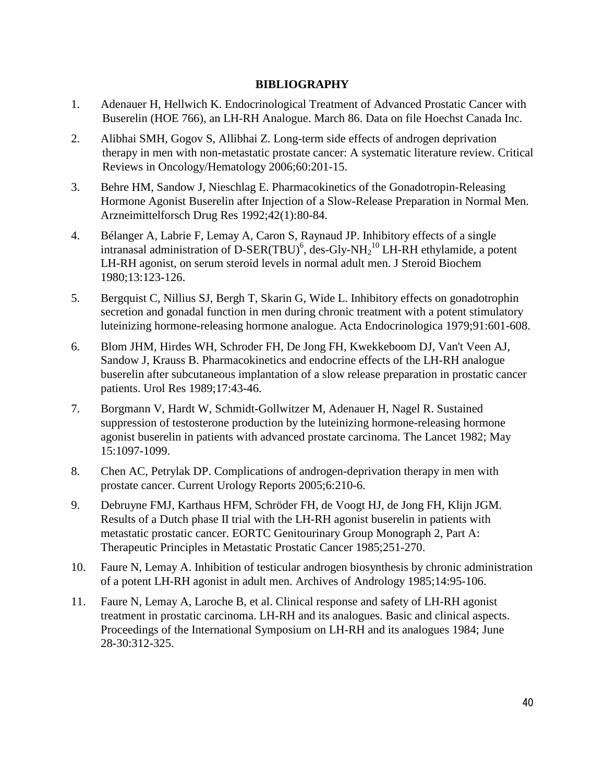## **BIBLIOGRAPHY**

- 1. Adenauer H, Hellwich K. Endocrinological Treatment of Advanced Prostatic Cancer with Buserelin (HOE 766), an LH-RH Analogue. March 86. Data on file Hoechst Canada Inc.
- 2. Alibhai SMH, Gogov S, Allibhai Z. Long-term side effects of androgen deprivation therapy in men with non-metastatic prostate cancer: A systematic literature review. Critical Reviews in Oncology/Hematology 2006;60:201-15.
- 3. Behre HM, Sandow J, Nieschlag E. Pharmacokinetics of the Gonadotropin-Releasing Hormone Agonist Buserelin after Injection of a Slow-Release Preparation in Normal Men. Arzneimittelforsch Drug Res 1992;42(1):80-84.
- 4. Bélanger A, Labrie F, Lemay A, Caron S, Raynaud JP. Inhibitory effects of a single intranasal administration of D-SER(TBU)<sup>6</sup>, des-Gly-NH<sub>2</sub><sup>10</sup> LH-RH ethylamide, a potent LH-RH agonist, on serum steroid levels in normal adult men. J Steroid Biochem 1980;13:123-126.
- 5. Bergquist C, Nillius SJ, Bergh T, Skarin G, Wide L. Inhibitory effects on gonadotrophin secretion and gonadal function in men during chronic treatment with a potent stimulatory luteinizing hormone-releasing hormone analogue. Acta Endocrinologica 1979;91:601-608.
- 6. Blom JHM, Hirdes WH, Schroder FH, De Jong FH, Kwekkeboom DJ, Van't Veen AJ, Sandow J, Krauss B. Pharmacokinetics and endocrine effects of the LH-RH analogue buserelin after subcutaneous implantation of a slow release preparation in prostatic cancer patients. Urol Res 1989;17:43-46.
- 7. Borgmann V, Hardt W, Schmidt-Gollwitzer M, Adenauer H, Nagel R. Sustained suppression of testosterone production by the luteinizing hormone-releasing hormone agonist buserelin in patients with advanced prostate carcinoma. The Lancet 1982; May 15:1097-1099.
- 8. Chen AC, Petrylak DP. Complications of androgen-deprivation therapy in men with prostate cancer. Current Urology Reports 2005;6:210-6.
- 9. Debruyne FMJ, Karthaus HFM, Schröder FH, de Voogt HJ, de Jong FH, Klijn JGM. Results of a Dutch phase II trial with the LH-RH agonist buserelin in patients with metastatic prostatic cancer. EORTC Genitourinary Group Monograph 2, Part A: Therapeutic Principles in Metastatic Prostatic Cancer 1985;251-270.
- 10. Faure N, Lemay A. Inhibition of testicular androgen biosynthesis by chronic administration of a potent LH-RH agonist in adult men. Archives of Andrology 1985;14:95-106.
- 11. Faure N, Lemay A, Laroche B, et al. Clinical response and safety of LH-RH agonist treatment in prostatic carcinoma. LH-RH and its analogues. Basic and clinical aspects. Proceedings of the International Symposium on LH-RH and its analogues 1984; June 28-30:312-325.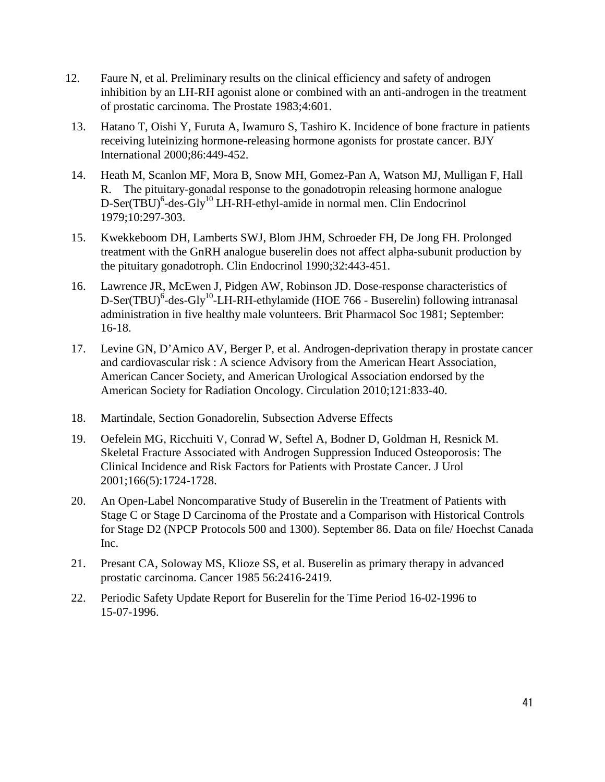- 12. Faure N, et al. Preliminary results on the clinical efficiency and safety of androgen inhibition by an LH-RH agonist alone or combined with an anti-androgen in the treatment of prostatic carcinoma. The Prostate 1983;4:601.
- 13. Hatano T, Oishi Y, Furuta A, Iwamuro S, Tashiro K. Incidence of bone fracture in patients receiving luteinizing hormone-releasing hormone agonists for prostate cancer. BJY International 2000;86:449-452.
- 14. Heath M, Scanlon MF, Mora B, Snow MH, Gomez-Pan A, Watson MJ, Mulligan F, Hall R. The pituitary-gonadal response to the gonadotropin releasing hormone analogue D-Ser(TBU)<sup>6</sup>-des-Gly<sup>10</sup> LH-RH-ethyl-amide in normal men. Clin Endocrinol 1979;10:297-303.
- 15. Kwekkeboom DH, Lamberts SWJ, Blom JHM, Schroeder FH, De Jong FH. Prolonged treatment with the GnRH analogue buserelin does not affect alpha-subunit production by the pituitary gonadotroph. Clin Endocrinol 1990;32:443-451.
- 16. Lawrence JR, McEwen J, Pidgen AW, Robinson JD. Dose-response characteristics of D-Ser(TBU)<sup>6</sup>-des-Gly<sup>10</sup>-LH-RH-ethylamide (HOE 766 - Buserelin) following intranasal administration in five healthy male volunteers. Brit Pharmacol Soc 1981; September: 16-18.
- 17. Levine GN, D'Amico AV, Berger P, et al. Androgen-deprivation therapy in prostate cancer and cardiovascular risk : A science Advisory from the American Heart Association, American Cancer Society, and American Urological Association endorsed by the American Society for Radiation Oncology. Circulation 2010;121:833-40.
- 18. Martindale, Section Gonadorelin, Subsection Adverse Effects
- 19. Oefelein MG, Ricchuiti V, Conrad W, Seftel A, Bodner D, Goldman H, Resnick M. Skeletal Fracture Associated with Androgen Suppression Induced Osteoporosis: The Clinical Incidence and Risk Factors for Patients with Prostate Cancer. J Urol 2001;166(5):1724-1728.
- 20. An Open-Label Noncomparative Study of Buserelin in the Treatment of Patients with Stage C or Stage D Carcinoma of the Prostate and a Comparison with Historical Controls for Stage D2 (NPCP Protocols 500 and 1300). September 86. Data on file/ Hoechst Canada Inc.
- 21. Presant CA, Soloway MS, Klioze SS, et al. Buserelin as primary therapy in advanced prostatic carcinoma. Cancer 1985 56:2416-2419.
- 22. Periodic Safety Update Report for Buserelin for the Time Period 16-02-1996 to 15-07-1996.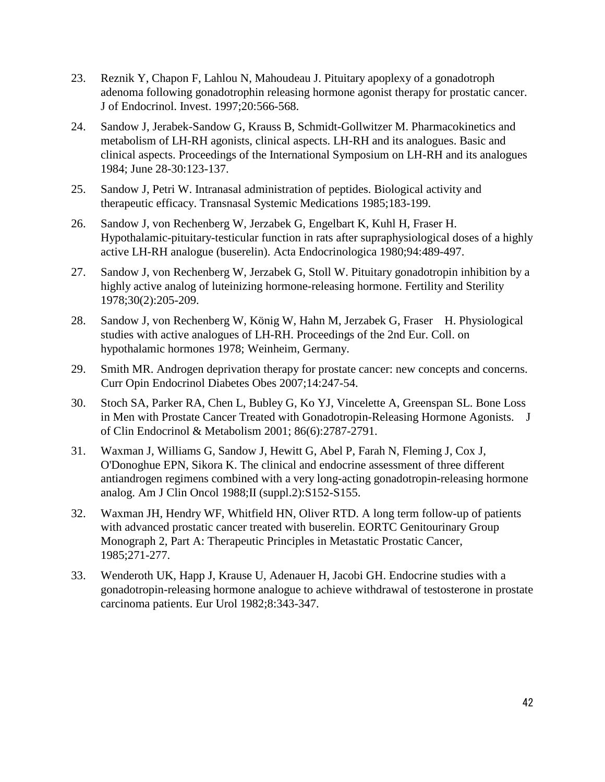- 23. Reznik Y, Chapon F, Lahlou N, Mahoudeau J. Pituitary apoplexy of a gonadotroph adenoma following gonadotrophin releasing hormone agonist therapy for prostatic cancer. J of Endocrinol. Invest. 1997;20:566-568.
- 24. Sandow J, Jerabek-Sandow G, Krauss B, Schmidt-Gollwitzer M. Pharmacokinetics and metabolism of LH-RH agonists, clinical aspects. LH-RH and its analogues. Basic and clinical aspects. Proceedings of the International Symposium on LH-RH and its analogues 1984; June 28-30:123-137.
- 25. Sandow J, Petri W. Intranasal administration of peptides. Biological activity and therapeutic efficacy. Transnasal Systemic Medications 1985;183-199.
- 26. Sandow J, von Rechenberg W, Jerzabek G, Engelbart K, Kuhl H, Fraser H. Hypothalamic-pituitary-testicular function in rats after supraphysiological doses of a highly active LH-RH analogue (buserelin). Acta Endocrinologica 1980;94:489-497.
- 27. Sandow J, von Rechenberg W, Jerzabek G, Stoll W. Pituitary gonadotropin inhibition by a highly active analog of luteinizing hormone-releasing hormone. Fertility and Sterility 1978;30(2):205-209.
- 28. Sandow J, von Rechenberg W, König W, Hahn M, Jerzabek G, Fraser H. Physiological studies with active analogues of LH-RH. Proceedings of the 2nd Eur. Coll. on hypothalamic hormones 1978; Weinheim, Germany.
- 29. Smith MR. Androgen deprivation therapy for prostate cancer: new concepts and concerns. Curr Opin Endocrinol Diabetes Obes 2007;14:247-54.
- 30. Stoch SA, Parker RA, Chen L, Bubley G, Ko YJ, Vincelette A, Greenspan SL. Bone Loss in Men with Prostate Cancer Treated with Gonadotropin-Releasing Hormone Agonists. J of Clin Endocrinol & Metabolism 2001; 86(6):2787-2791.
- 31. Waxman J, Williams G, Sandow J, Hewitt G, Abel P, Farah N, Fleming J, Cox J, O'Donoghue EPN, Sikora K. The clinical and endocrine assessment of three different antiandrogen regimens combined with a very long-acting gonadotropin-releasing hormone analog. Am J Clin Oncol 1988;II (suppl.2):S152-S155.
- 32. Waxman JH, Hendry WF, Whitfield HN, Oliver RTD. A long term follow-up of patients with advanced prostatic cancer treated with buserelin. EORTC Genitourinary Group Monograph 2, Part A: Therapeutic Principles in Metastatic Prostatic Cancer, 1985;271-277.
- 33. Wenderoth UK, Happ J, Krause U, Adenauer H, Jacobi GH. Endocrine studies with a gonadotropin-releasing hormone analogue to achieve withdrawal of testosterone in prostate carcinoma patients. Eur Urol 1982;8:343-347.